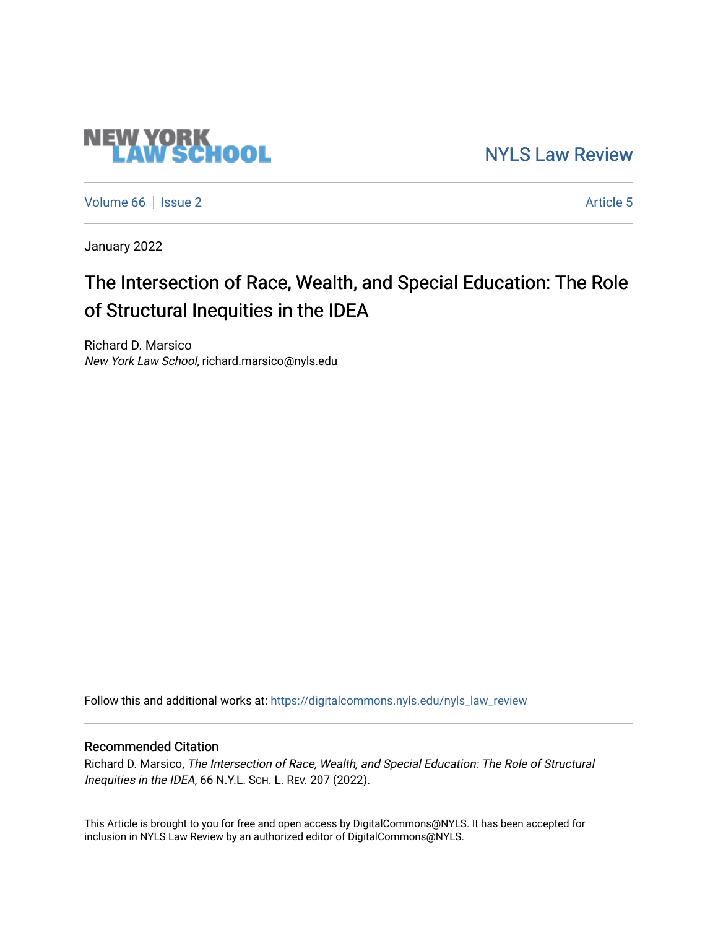## [NYLS Law Review](https://digitalcommons.nyls.edu/nyls_law_review)

[Volume 66](https://digitalcommons.nyls.edu/nyls_law_review/vol66) | [Issue 2](https://digitalcommons.nyls.edu/nyls_law_review/vol66/iss2) Article 5

**NEW YORK<br>LAW SCHOOL** 

January 2022

## The Intersection of Race, Wealth, and Special Education: The Role of Structural Inequities in the IDEA

Richard D. Marsico New York Law School, richard.marsico@nyls.edu

Follow this and additional works at: [https://digitalcommons.nyls.edu/nyls\\_law\\_review](https://digitalcommons.nyls.edu/nyls_law_review?utm_source=digitalcommons.nyls.edu%2Fnyls_law_review%2Fvol66%2Fiss2%2F5&utm_medium=PDF&utm_campaign=PDFCoverPages) 

## Recommended Citation

Richard D. Marsico, The Intersection of Race, Wealth, and Special Education: The Role of Structural Inequities in the IDEA, 66 N.Y.L. SCH. L. REV. 207 (2022).

This Article is brought to you for free and open access by DigitalCommons@NYLS. It has been accepted for inclusion in NYLS Law Review by an authorized editor of DigitalCommons@NYLS.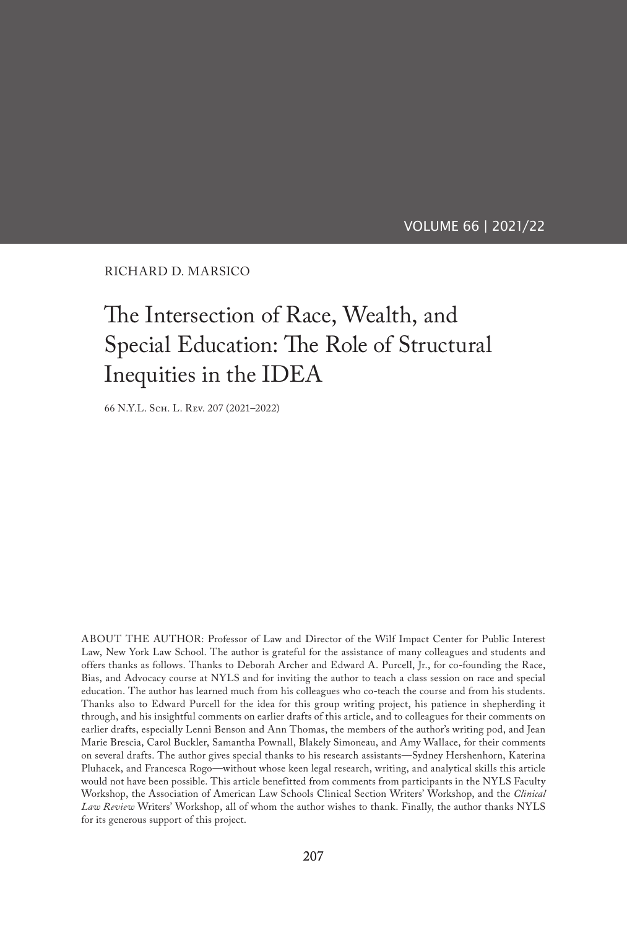VOLUME 66 | 2021/22

RICHARD D. MARSICO

# The Intersection of Race, Wealth, and Special Education: The Role of Structural Inequities in the IDEA

66 N.Y.L. Sch. L. Rev. 207 (2021–2022)

ABOUT THE AUTHOR: Professor of Law and Director of the Wilf Impact Center for Public Interest Law, New York Law School. The author is grateful for the assistance of many colleagues and students and offers thanks as follows. Thanks to Deborah Archer and Edward A. Purcell, Jr., for co-founding the Race, Bias, and Advocacy course at NYLS and for inviting the author to teach a class session on race and special education. The author has learned much from his colleagues who co-teach the course and from his students. Thanks also to Edward Purcell for the idea for this group writing project, his patience in shepherding it through, and his insightful comments on earlier drafts of this article, and to colleagues for their comments on earlier drafts, especially Lenni Benson and Ann Thomas, the members of the author's writing pod, and Jean Marie Brescia, Carol Buckler, Samantha Pownall, Blakely Simoneau, and Amy Wallace, for their comments on several drafts. The author gives special thanks to his research assistants—Sydney Hershenhorn, Katerina Pluhacek, and Francesca Rogo—without whose keen legal research, writing, and analytical skills this article would not have been possible. This article benefitted from comments from participants in the NYLS Faculty Workshop, the Association of American Law Schools Clinical Section Writers' Workshop, and the *Clinical Law Review* Writers' Workshop, all of whom the author wishes to thank. Finally, the author thanks NYLS for its generous support of this project.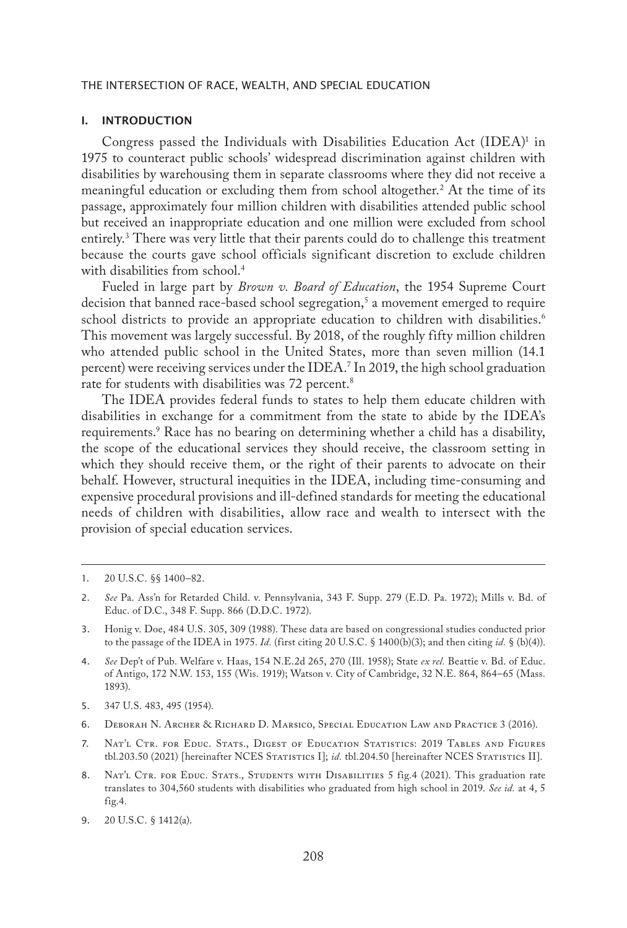## I. INTRODUCTION

Congress passed the Individuals with Disabilities Education Act (IDEA)<sup>1</sup> in 1975 to counteract public schools' widespread discrimination against children with disabilities by warehousing them in separate classrooms where they did not receive a meaningful education or excluding them from school altogether.2 At the time of its passage, approximately four million children with disabilities attended public school but received an inappropriate education and one million were excluded from school entirely.3 There was very little that their parents could do to challenge this treatment because the courts gave school officials significant discretion to exclude children with disabilities from school.<sup>4</sup>

Fueled in large part by *Brown v. Board of Education*, the 1954 Supreme Court decision that banned race-based school segregation,<sup>5</sup> a movement emerged to require school districts to provide an appropriate education to children with disabilities.<sup>6</sup> This movement was largely successful. By 2018, of the roughly fifty million children who attended public school in the United States, more than seven million (14.1 percent) were receiving services under the IDEA.7 In 2019, the high school graduation rate for students with disabilities was 72 percent.<sup>8</sup>

The IDEA provides federal funds to states to help them educate children with disabilities in exchange for a commitment from the state to abide by the IDEA's requirements.9 Race has no bearing on determining whether a child has a disability, the scope of the educational services they should receive, the classroom setting in which they should receive them, or the right of their parents to advocate on their behalf. However, structural inequities in the IDEA, including time-consuming and expensive procedural provisions and ill-defined standards for meeting the educational needs of children with disabilities, allow race and wealth to intersect with the provision of special education services.

- 3. Honig v. Doe, 484 U.S. 305, 309 (1988). These data are based on congressional studies conducted prior to the passage of the IDEA in 1975. *Id.* (first citing 20 U.S.C. § 1400(b)(3); and then citing *id.* § (b)(4)).
- 4. *See* Dep't of Pub. Welfare v. Haas, 154 N.E.2d 265, 270 (Ill. 1958); State *ex rel.* Beattie v. Bd. of Educ. of Antigo, 172 N.W. 153, 155 (Wis. 1919); Watson v. City of Cambridge, 32 N.E. 864, 864–65 (Mass. 1893).
- 5. 347 U.S. 483, 495 (1954).
- 6. Deborah N. Archer & Richard D. Marsico, Special Education Law and Practice 3 (2016).
- 7. Nat'l Ctr. for Educ. Stats., Digest of Education Statistics: 2019 Tables and Figures tbl.203.50 (2021) [hereinafter NCES STATISTICS I]; *id.* tbl.204.50 [hereinafter NCES STATISTICS II].
- 8. NAT'L CTR. FOR EDUC. STATS., STUDENTS WITH DISABILITIES 5 fig.4 (2021). This graduation rate translates to 304,560 students with disabilities who graduated from high school in 2019. *See id.* at 4, 5 fig.4.
- 9. 20 U.S.C. § 1412(a).

<sup>1.</sup> 20 U.S.C. §§ 1400–82.

<sup>2.</sup> *See* Pa. Ass'n for Retarded Child. v. Pennsylvania, 343 F. Supp. 279 (E.D. Pa. 1972); Mills v. Bd. of Educ. of D.C., 348 F. Supp. 866 (D.D.C. 1972).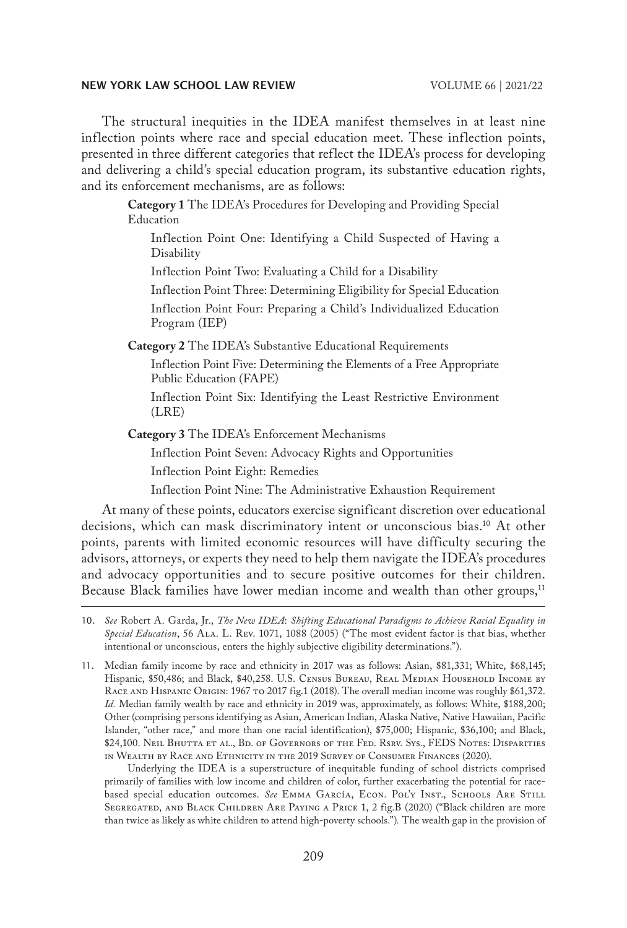The structural inequities in the IDEA manifest themselves in at least nine inflection points where race and special education meet. These inflection points, presented in three different categories that reflect the IDEA's process for developing and delivering a child's special education program, its substantive education rights, and its enforcement mechanisms, are as follows:

> **Category 1** The IDEA's Procedures for Developing and Providing Special Education

Inflection Point One: Identifying a Child Suspected of Having a Disability

Inflection Point Two: Evaluating a Child for a Disability

Inflection Point Three: Determining Eligibility for Special Education Inflection Point Four: Preparing a Child's Individualized Education Program (IEP)

**Category 2** The IDEA's Substantive Educational Requirements

Inflection Point Five: Determining the Elements of a Free Appropriate Public Education (FAPE)

Inflection Point Six: Identifying the Least Restrictive Environment (LRE)

**Category 3** The IDEA's Enforcement Mechanisms

Inflection Point Seven: Advocacy Rights and Opportunities

Inflection Point Eight: Remedies

Inflection Point Nine: The Administrative Exhaustion Requirement

At many of these points, educators exercise significant discretion over educational decisions, which can mask discriminatory intent or unconscious bias.10 At other points, parents with limited economic resources will have difficulty securing the advisors, attorneys, or experts they need to help them navigate the IDEA's procedures and advocacy opportunities and to secure positive outcomes for their children. Because Black families have lower median income and wealth than other groups,<sup>11</sup>

Underlying the IDEA is a superstructure of inequitable funding of school districts comprised primarily of families with low income and children of color, further exacerbating the potential for racebased special education outcomes. See EMMA GARCÍA, ECON. POL'Y INST., SCHOOLS ARE STILL Segregated, and Black Children Are Paying a Price 1, 2 fig.B (2020) ("Black children are more than twice as likely as white children to attend high-poverty schools.")*.* The wealth gap in the provision of

<sup>10.</sup> *See* Robert A. Garda, Jr., *The New IDEA*: *Shifting Educational Paradigms to Achieve Racial Equality in Special Education*, 56 Ala. L. Rev. 1071, 1088 (2005) ("The most evident factor is that bias, whether intentional or unconscious, enters the highly subjective eligibility determinations.").

<sup>11.</sup> Median family income by race and ethnicity in 2017 was as follows: Asian, \$81,331; White, \$68,145; Hispanic, \$50,486; and Black, \$40,258. U.S. CENSUS BUREAU, REAL MEDIAN HOUSEHOLD INCOME BY RACE AND HISPANIC ORIGIN: 1967 TO 2017 fig.1 (2018). The overall median income was roughly \$61,372. *Id.* Median family wealth by race and ethnicity in 2019 was, approximately, as follows: White, \$188,200; Other (comprising persons identifying as Asian, American Indian, Alaska Native, Native Hawaiian, Pacific Islander, "other race," and more than one racial identification), \$75,000; Hispanic, \$36,100; and Black, \$24,100. Neil Bhutta et al., Bd. of Governors of the Fed. Rsrv. Sys., FEDS Notes: Disparities in Wealth by Race and Ethnicity in the 2019 Survey of Consumer Finances (2020).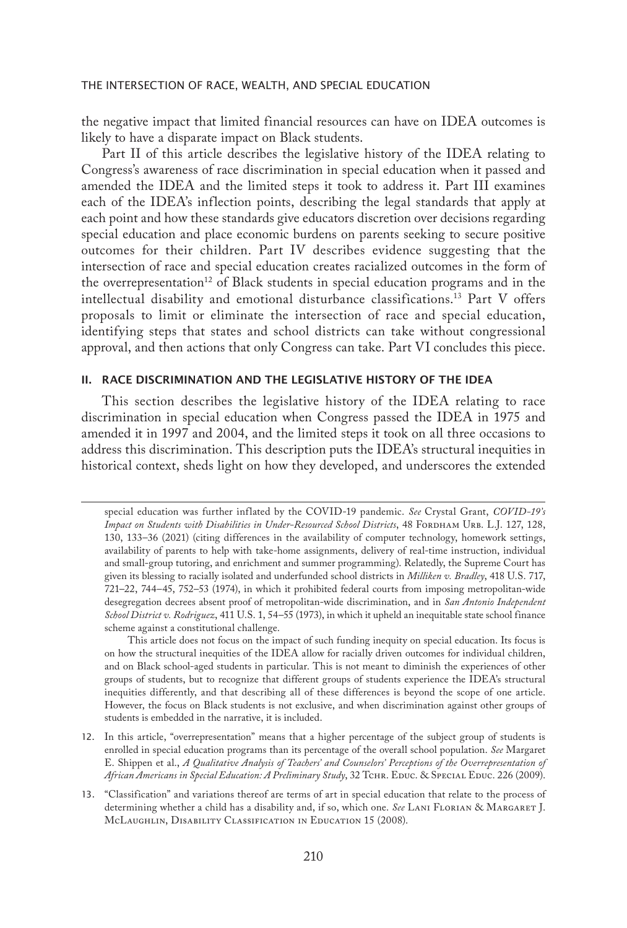the negative impact that limited financial resources can have on IDEA outcomes is likely to have a disparate impact on Black students.

Part II of this article describes the legislative history of the IDEA relating to Congress's awareness of race discrimination in special education when it passed and amended the IDEA and the limited steps it took to address it. Part III examines each of the IDEA's inflection points, describing the legal standards that apply at each point and how these standards give educators discretion over decisions regarding special education and place economic burdens on parents seeking to secure positive outcomes for their children. Part IV describes evidence suggesting that the intersection of race and special education creates racialized outcomes in the form of the overrepresentation<sup>12</sup> of Black students in special education programs and in the intellectual disability and emotional disturbance classifications.13 Part V offers proposals to limit or eliminate the intersection of race and special education, identifying steps that states and school districts can take without congressional approval, and then actions that only Congress can take. Part VI concludes this piece.

## II. RACE DISCRIMINATION AND THE LEGISLATIVE HISTORY OF THE IDEA

This section describes the legislative history of the IDEA relating to race discrimination in special education when Congress passed the IDEA in 1975 and amended it in 1997 and 2004, and the limited steps it took on all three occasions to address this discrimination. This description puts the IDEA's structural inequities in historical context, sheds light on how they developed, and underscores the extended

This article does not focus on the impact of such funding inequity on special education. Its focus is on how the structural inequities of the IDEA allow for racially driven outcomes for individual children, and on Black school-aged students in particular. This is not meant to diminish the experiences of other groups of students, but to recognize that different groups of students experience the IDEA's structural inequities differently, and that describing all of these differences is beyond the scope of one article. However, the focus on Black students is not exclusive, and when discrimination against other groups of students is embedded in the narrative, it is included.

special education was further inflated by the COVID-19 pandemic. *See* Crystal Grant, *COVID-19's*  Impact on Students with Disabilities in Under-Resourced School Districts, 48 FORDHAM URB. L.J. 127, 128, 130, 133–36 (2021) (citing differences in the availability of computer technology, homework settings, availability of parents to help with take-home assignments, delivery of real-time instruction, individual and small-group tutoring, and enrichment and summer programming). Relatedly, the Supreme Court has given its blessing to racially isolated and underfunded school districts in *Milliken v. Bradley*, 418 U.S. 717, 721–22, 744–45, 752–53 (1974), in which it prohibited federal courts from imposing metropolitan-wide desegregation decrees absent proof of metropolitan-wide discrimination, and in *San Antonio Independent School District v. Rodriguez*, 411 U.S. 1, 54–55 (1973), in which it upheld an inequitable state school finance scheme against a constitutional challenge.

<sup>12.</sup> In this article, "overrepresentation" means that a higher percentage of the subject group of students is enrolled in special education programs than its percentage of the overall school population. *See* Margaret E. Shippen et al., *A Qualitative Analysis of Teachers' and Counselors' Perceptions of the Overrepresentation of*  African Americans in Special Education: A Preliminary Study, 32 TCHR. EDUC. & SPECIAL EDUC. 226 (2009).

<sup>13.</sup> "Classification" and variations thereof are terms of art in special education that relate to the process of determining whether a child has a disability and, if so, which one. *See* Lani Florian & Margaret J. McLaughlin, Disability Classification in Education 15 (2008).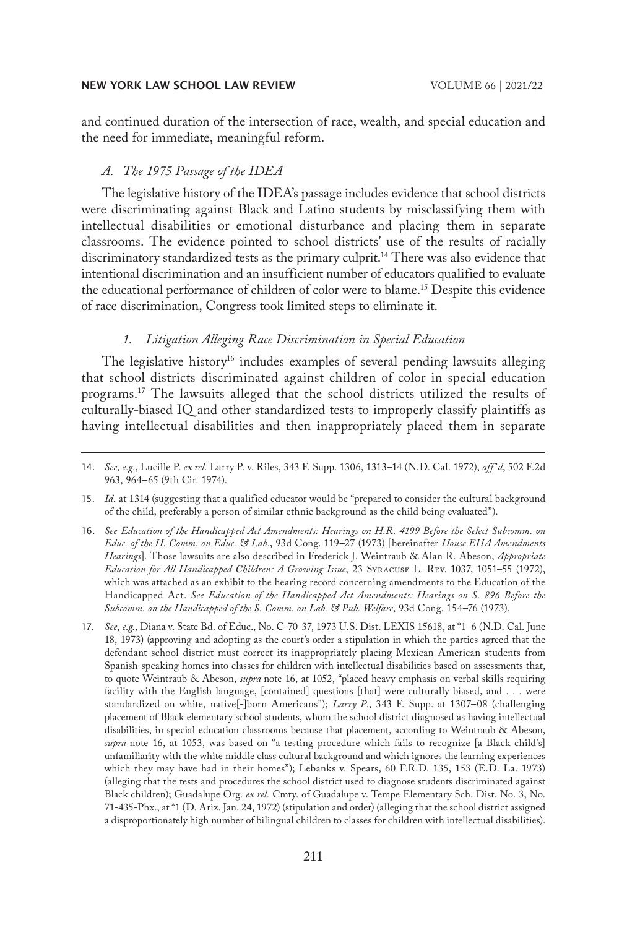and continued duration of the intersection of race, wealth, and special education and the need for immediate, meaningful reform.

## *A. The 1975 Passage of the IDEA*

The legislative history of the IDEA's passage includes evidence that school districts were discriminating against Black and Latino students by misclassifying them with intellectual disabilities or emotional disturbance and placing them in separate classrooms. The evidence pointed to school districts' use of the results of racially discriminatory standardized tests as the primary culprit.14 There was also evidence that intentional discrimination and an insufficient number of educators qualified to evaluate the educational performance of children of color were to blame.15 Despite this evidence of race discrimination, Congress took limited steps to eliminate it.

## *1. Litigation Alleging Race Discrimination in Special Education*

The legislative history<sup>16</sup> includes examples of several pending lawsuits alleging that school districts discriminated against children of color in special education programs.17 The lawsuits alleged that the school districts utilized the results of culturally-biased IQ and other standardized tests to improperly classify plaintiffs as having intellectual disabilities and then inappropriately placed them in separate

- 16. *See Education of the Handicapped Act Amendments: Hearings on H.R. 4199 Before the Select Subcomm. on Educ. of the H. Comm. on Educ. & Lab.*, 93d Cong. 119–27 (1973) [hereinafter *House EHA Amendments Hearings*]. Those lawsuits are also described in Frederick J. Weintraub & Alan R. Abeson, *Appropriate Education for All Handicapped Children: A Growing Issue*, 23 Syracuse L. Rev. 1037, 1051–55 (1972), which was attached as an exhibit to the hearing record concerning amendments to the Education of the Handicapped Act. *See Education of the Handicapped Act Amendments: Hearings on S. 896 Before the Subcomm. on the Handicapped of the S. Comm. on Lab. & Pub. Welfare*, 93d Cong. 154–76 (1973).
- 17. *See*, *e.g.*, Diana v. State Bd. of Educ., No. C-70-37, 1973 U.S. Dist. LEXIS 15618, at \*1–6 (N.D. Cal. June 18, 1973) (approving and adopting as the court's order a stipulation in which the parties agreed that the defendant school district must correct its inappropriately placing Mexican American students from Spanish-speaking homes into classes for children with intellectual disabilities based on assessments that, to quote Weintraub & Abeson, *supra* note 16, at 1052, "placed heavy emphasis on verbal skills requiring facility with the English language, [contained] questions [that] were culturally biased, and . . . were standardized on white, native[-]born Americans"); *Larry P.*, 343 F. Supp. at 1307–08 (challenging placement of Black elementary school students, whom the school district diagnosed as having intellectual disabilities, in special education classrooms because that placement, according to Weintraub & Abeson, *supra* note 16, at 1053, was based on "a testing procedure which fails to recognize [a Black child's] unfamiliarity with the white middle class cultural background and which ignores the learning experiences which they may have had in their homes"); Lebanks v. Spears, 60 F.R.D. 135, 153 (E.D. La. 1973) (alleging that the tests and procedures the school district used to diagnose students discriminated against Black children); Guadalupe Org. *ex rel.* Cmty. of Guadalupe v. Tempe Elementary Sch. Dist. No. 3, No. 71-435-Phx., at \*1 (D. Ariz. Jan. 24, 1972) (stipulation and order) (alleging that the school district assigned a disproportionately high number of bilingual children to classes for children with intellectual disabilities).

<sup>14.</sup> *See, e.g.*, Lucille P. *ex rel.* Larry P. v. Riles, 343 F. Supp. 1306, 1313–14 (N.D. Cal. 1972), *aff 'd*, 502 F.2d 963, 964–65 (9th Cir. 1974).

<sup>15.</sup> *Id.* at 1314 (suggesting that a qualified educator would be "prepared to consider the cultural background of the child, preferably a person of similar ethnic background as the child being evaluated").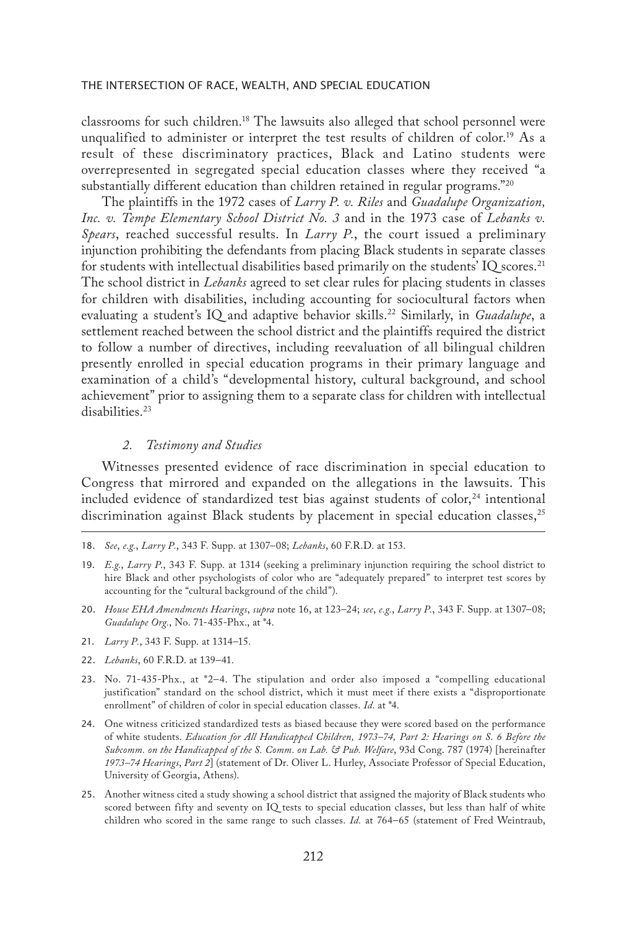classrooms for such children.18 The lawsuits also alleged that school personnel were unqualified to administer or interpret the test results of children of color.19 As a result of these discriminatory practices, Black and Latino students were overrepresented in segregated special education classes where they received "a substantially different education than children retained in regular programs."20

The plaintiffs in the 1972 cases of *Larry P. v. Riles* and *Guadalupe Organization, Inc. v. Tempe Elementary School District No. 3* and in the 1973 case of *Lebanks v. Spears*, reached successful results. In *Larry P.*, the court issued a preliminary injunction prohibiting the defendants from placing Black students in separate classes for students with intellectual disabilities based primarily on the students' IQ scores.<sup>21</sup> The school district in *Lebanks* agreed to set clear rules for placing students in classes for children with disabilities, including accounting for sociocultural factors when evaluating a student's IQ and adaptive behavior skills.<sup>22</sup> Similarly, in *Guadalupe*, a settlement reached between the school district and the plaintiffs required the district to follow a number of directives, including reevaluation of all bilingual children presently enrolled in special education programs in their primary language and examination of a child's "developmental history, cultural background, and school achievement" prior to assigning them to a separate class for children with intellectual disabilities.<sup>23</sup>

## *2. Testimony and Studies*

Witnesses presented evidence of race discrimination in special education to Congress that mirrored and expanded on the allegations in the lawsuits. This included evidence of standardized test bias against students of color, $24$  intentional discrimination against Black students by placement in special education classes, $2^5$ 

- 20. *House EHA Amendments Hearings*, *supra* note 16, at 123–24; *see*, *e.g.*, *Larry P.*, 343 F. Supp. at 1307–08; *Guadalupe Org.*, No. 71-435-Phx., at \*4.
- 21. *Larry P.*, 343 F. Supp. at 1314–15.
- 22. *Lebanks*, 60 F.R.D. at 139–41.
- 23. No. 71-435-Phx., at \*2–4. The stipulation and order also imposed a "compelling educational justification" standard on the school district, which it must meet if there exists a "disproportionate enrollment" of children of color in special education classes. *Id.* at \*4.
- 24. One witness criticized standardized tests as biased because they were scored based on the performance of white students. *Education for All Handicapped Children, 1973–74, Part 2: Hearings on S. 6 Before the Subcomm. on the Handicapped of the S. Comm. on Lab. & Pub. Welfare*, 93d Cong. 787 (1974) [hereinafter *1973–74 Hearings*, *Part 2*] (statement of Dr. Oliver L. Hurley, Associate Professor of Special Education, University of Georgia, Athens).
- 25. Another witness cited a study showing a school district that assigned the majority of Black students who scored between fifty and seventy on IQ tests to special education classes, but less than half of white children who scored in the same range to such classes. *Id.* at 764–65 (statement of Fred Weintraub,

<sup>18.</sup> *See*, *e.g.*, *Larry P.*, 343 F. Supp. at 1307–08; *Lebanks*, 60 F.R.D. at 153.

<sup>19.</sup> *E.g.*, *Larry P*., 343 F. Supp. at 1314 (seeking a preliminary injunction requiring the school district to hire Black and other psychologists of color who are "adequately prepared" to interpret test scores by accounting for the "cultural background of the child").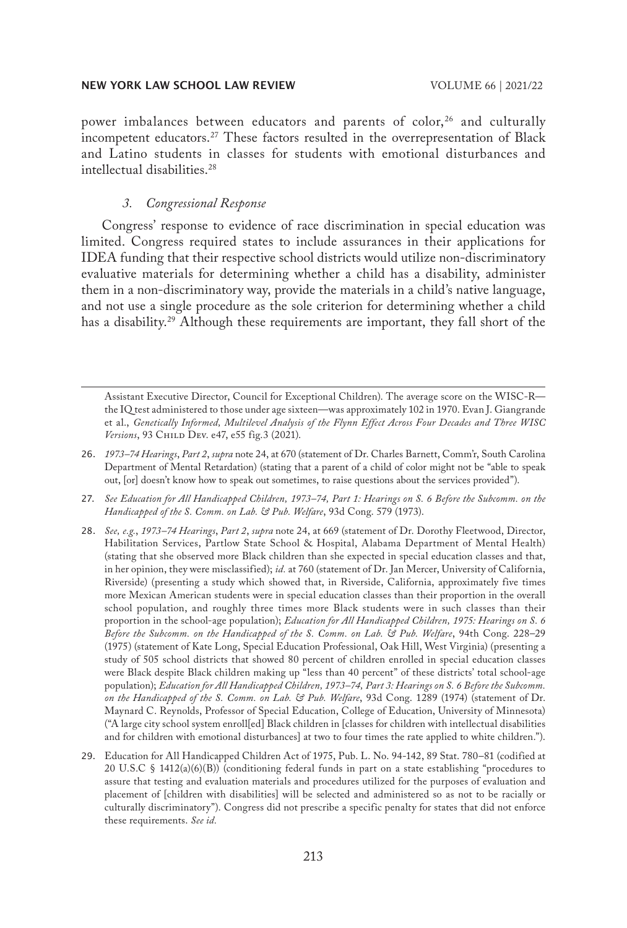power imbalances between educators and parents of color,<sup>26</sup> and culturally incompetent educators.<sup>27</sup> These factors resulted in the overrepresentation of Black and Latino students in classes for students with emotional disturbances and intellectual disabilities.28

## *3. Congressional Response*

Congress' response to evidence of race discrimination in special education was limited. Congress required states to include assurances in their applications for IDEA funding that their respective school districts would utilize non-discriminatory evaluative materials for determining whether a child has a disability, administer them in a non-discriminatory way, provide the materials in a child's native language, and not use a single procedure as the sole criterion for determining whether a child has a disability.<sup>29</sup> Although these requirements are important, they fall short of the

Assistant Executive Director, Council for Exceptional Children). The average score on the WISC-R the IQ test administered to those under age sixteen—was approximately 102 in 1970. Evan J. Giangrande et al., *Genetically Informed, Multilevel Analysis of the Flynn Effect Across Four Decades and Three WISC Versions*, 93 Child Dev. e47, e55 fig.3 (2021).

- 26. *1973–74 Hearings*, *Part 2*, *supra* note 24, at 670 (statement of Dr. Charles Barnett, Comm'r, South Carolina Department of Mental Retardation) (stating that a parent of a child of color might not be "able to speak out, [or] doesn't know how to speak out sometimes, to raise questions about the services provided").
- 27. *See Education for All Handicapped Children, 1973–74, Part 1: Hearings on S. 6 Before the Subcomm. on the Handicapped of the S. Comm. on Lab. & Pub. Welfare*, 93d Cong. 579 (1973).
- 28. *See, e.g.*, *1973–74 Hearings*, *Part 2*, *supra* note 24, at 669 (statement of Dr. Dorothy Fleetwood, Director, Habilitation Services, Partlow State School & Hospital, Alabama Department of Mental Health) (stating that she observed more Black children than she expected in special education classes and that, in her opinion, they were misclassified); *id.* at 760 (statement of Dr. Jan Mercer, University of California, Riverside) (presenting a study which showed that, in Riverside, California, approximately five times more Mexican American students were in special education classes than their proportion in the overall school population, and roughly three times more Black students were in such classes than their proportion in the school-age population); *Education for All Handicapped Children, 1975: Hearings on S. 6 Before the Subcomm. on the Handicapped of the S. Comm. on Lab. & Pub. Welfare*, 94th Cong. 228–29 (1975) (statement of Kate Long, Special Education Professional, Oak Hill, West Virginia) (presenting a study of 505 school districts that showed 80 percent of children enrolled in special education classes were Black despite Black children making up "less than 40 percent" of these districts' total school-age population); *Education for All Handicapped Children, 1973–74, Part 3: Hearings on S. 6 Before the Subcomm. on the Handicapped of the S. Comm. on Lab. & Pub. Welfare*, 93d Cong. 1289 (1974) (statement of Dr. Maynard C. Reynolds, Professor of Special Education, College of Education, University of Minnesota) ("A large city school system enroll[ed] Black children in [classes for children with intellectual disabilities and for children with emotional disturbances] at two to four times the rate applied to white children.").
- 29. Education for All Handicapped Children Act of 1975, Pub. L. No. 94-142, 89 Stat. 780–81 (codified at 20 U.S.C § 1412(a)(6)(B)) (conditioning federal funds in part on a state establishing "procedures to assure that testing and evaluation materials and procedures utilized for the purposes of evaluation and placement of [children with disabilities] will be selected and administered so as not to be racially or culturally discriminatory"). Congress did not prescribe a specific penalty for states that did not enforce these requirements. *See id.*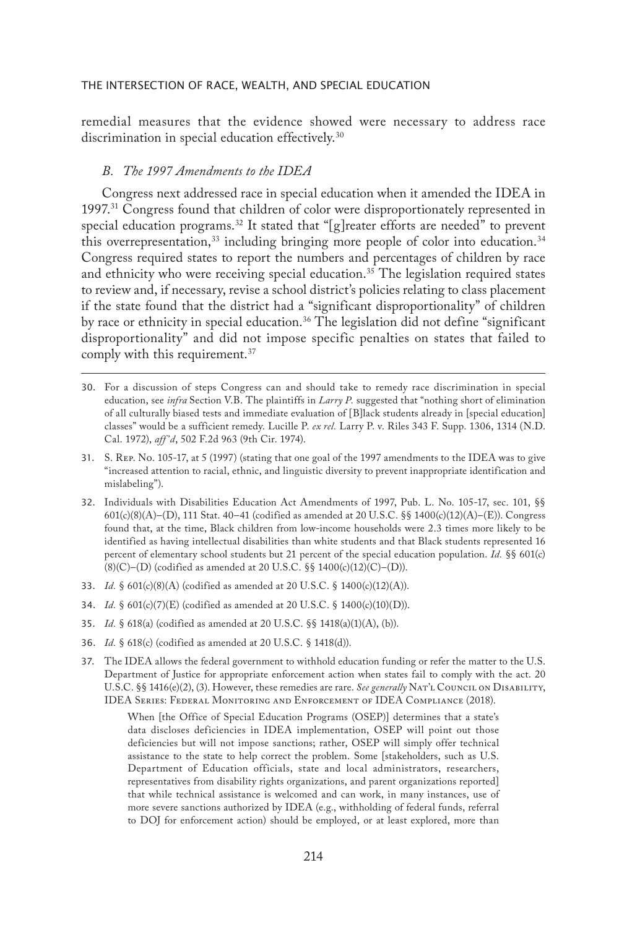remedial measures that the evidence showed were necessary to address race discrimination in special education effectively.<sup>30</sup>

## *B. The 1997 Amendments to the IDEA*

Congress next addressed race in special education when it amended the IDEA in 1997.31 Congress found that children of color were disproportionately represented in special education programs.<sup>32</sup> It stated that "[g] reater efforts are needed" to prevent this overrepresentation,  $33$  including bringing more people of color into education.  $34$ Congress required states to report the numbers and percentages of children by race and ethnicity who were receiving special education.<sup>35</sup> The legislation required states to review and, if necessary, revise a school district's policies relating to class placement if the state found that the district had a "significant disproportionality" of children by race or ethnicity in special education.<sup>36</sup> The legislation did not define "significant disproportionality" and did not impose specific penalties on states that failed to comply with this requirement.<sup>37</sup>

- 31. S. Rep. No. 105-17, at 5 (1997) (stating that one goal of the 1997 amendments to the IDEA was to give "increased attention to racial, ethnic, and linguistic diversity to prevent inappropriate identification and mislabeling").
- 32. Individuals with Disabilities Education Act Amendments of 1997, Pub. L. No. 105-17, sec. 101, §§ 601(c)(8)(A)–(D), 111 Stat. 40–41 (codified as amended at 20 U.S.C. §§ 1400(c)(12)(A)–(E)). Congress found that, at the time, Black children from low-income households were 2.3 times more likely to be identified as having intellectual disabilities than white students and that Black students represented 16 percent of elementary school students but 21 percent of the special education population. *Id.* §§ 601(c) (8)(C)–(D) (codified as amended at 20 U.S.C. §§ 1400(c)(12)(C)–(D)).
- 33. *Id.* § 601(c)(8)(A) (codified as amended at 20 U.S.C. § 1400(c)(12)(A)).
- 34. *Id.* § 601(c)(7)(E) (codified as amended at 20 U.S.C. § 1400(c)(10)(D)).
- 35. *Id.* § 618(a) (codified as amended at 20 U.S.C. §§ 1418(a)(1)(A), (b)).
- 36. *Id.* § 618(c) (codified as amended at 20 U.S.C. § 1418(d)).
- 37. The IDEA allows the federal government to withhold education funding or refer the matter to the U.S. Department of Justice for appropriate enforcement action when states fail to comply with the act. 20 U.S.C. §§ 1416(e)(2), (3). However, these remedies are rare. *See generally* NAT'L COUNCIL ON DISABILITY, IDEA Series: Federal Monitoring and Enforcement of IDEA Compliance (2018).

When [the Office of Special Education Programs (OSEP)] determines that a state's data discloses deficiencies in IDEA implementation, OSEP will point out those deficiencies but will not impose sanctions; rather, OSEP will simply offer technical assistance to the state to help correct the problem. Some [stakeholders, such as U.S. Department of Education officials, state and local administrators, researchers, representatives from disability rights organizations, and parent organizations reported] that while technical assistance is welcomed and can work, in many instances, use of more severe sanctions authorized by IDEA (e.g., withholding of federal funds, referral to DOJ for enforcement action) should be employed, or at least explored, more than

<sup>30.</sup> For a discussion of steps Congress can and should take to remedy race discrimination in special education, see *infra* Section V.B. The plaintiffs in *Larry P.* suggested that "nothing short of elimination of all culturally biased tests and immediate evaluation of [B]lack students already in [special education] classes" would be a sufficient remedy. Lucille P. *ex rel.* Larry P. v. Riles 343 F. Supp. 1306, 1314 (N.D. Cal. 1972), *aff 'd*, 502 F.2d 963 (9th Cir. 1974).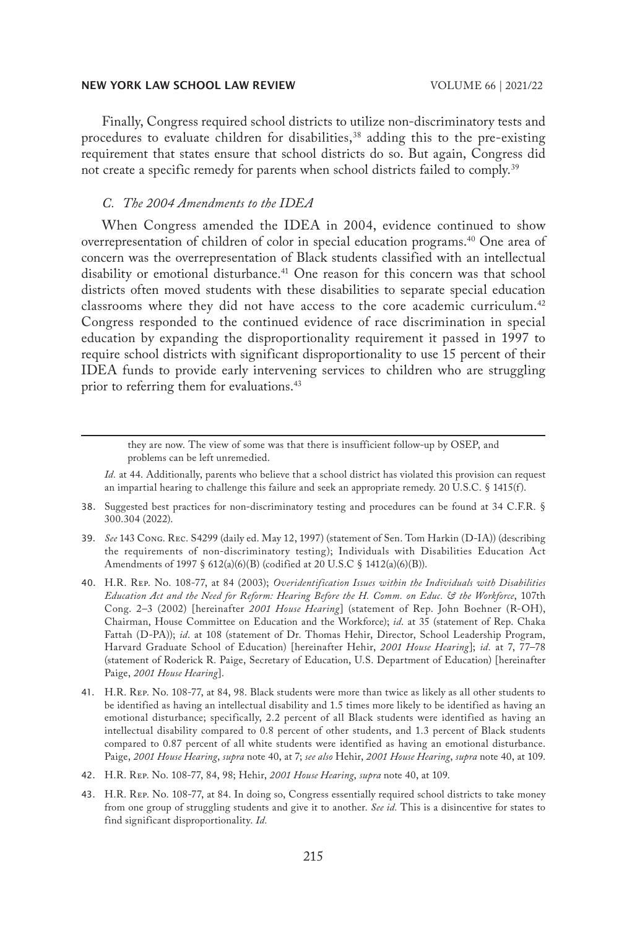Finally, Congress required school districts to utilize non-discriminatory tests and procedures to evaluate children for disabilities, $38$  adding this to the pre-existing requirement that states ensure that school districts do so. But again, Congress did not create a specific remedy for parents when school districts failed to comply.<sup>39</sup>

## *C. The 2004 Amendments to the IDEA*

When Congress amended the IDEA in 2004, evidence continued to show overrepresentation of children of color in special education programs.40 One area of concern was the overrepresentation of Black students classified with an intellectual disability or emotional disturbance.<sup>41</sup> One reason for this concern was that school districts often moved students with these disabilities to separate special education classrooms where they did not have access to the core academic curriculum.<sup>42</sup> Congress responded to the continued evidence of race discrimination in special education by expanding the disproportionality requirement it passed in 1997 to require school districts with significant disproportionality to use 15 percent of their IDEA funds to provide early intervening services to children who are struggling prior to referring them for evaluations.<sup>43</sup>

they are now. The view of some was that there is insufficient follow-up by OSEP, and problems can be left unremedied.

*Id.* at 44. Additionally, parents who believe that a school district has violated this provision can request an impartial hearing to challenge this failure and seek an appropriate remedy. 20 U.S.C. § 1415(f).

- 38. Suggested best practices for non-discriminatory testing and procedures can be found at 34 C.F.R. § 300.304 (2022).
- 39. *See* 143 Cong. Rec. S4299 (daily ed. May 12, 1997) (statement of Sen. Tom Harkin (D-IA)) (describing the requirements of non-discriminatory testing); Individuals with Disabilities Education Act Amendments of 1997 § 612(a)(6)(B) (codified at 20 U.S.C § 1412(a)(6)(B)).
- 40. H.R. Rep. No. 108-77, at 84 (2003); *Overidentification Issues within the Individuals with Disabilities Education Act and the Need for Reform: Hearing Before the H. Comm. on Educ. & the Workforce*, 107th Cong. 2–3 (2002) [hereinafter *2001 House Hearing*] (statement of Rep. John Boehner (R-OH), Chairman, House Committee on Education and the Workforce); *id*. at 35 (statement of Rep. Chaka Fattah (D-PA)); *id*. at 108 (statement of Dr. Thomas Hehir, Director, School Leadership Program, Harvard Graduate School of Education) [hereinafter Hehir, *2001 House Hearing*]; *id.* at 7, 77–78 (statement of Roderick R. Paige, Secretary of Education, U.S. Department of Education) [hereinafter Paige, *2001 House Hearing*].
- 41. H.R. Rep. No. 108-77, at 84, 98. Black students were more than twice as likely as all other students to be identified as having an intellectual disability and 1.5 times more likely to be identified as having an emotional disturbance; specifically, 2.2 percent of all Black students were identified as having an intellectual disability compared to 0.8 percent of other students, and 1.3 percent of Black students compared to 0.87 percent of all white students were identified as having an emotional disturbance. Paige, *2001 House Hearing*, *supra* note 40, at 7; *see also* Hehir, *2001 House Hearing*, *supra* note 40, at 109.
- 42. H.R. Rep. No. 108-77, 84, 98; Hehir, *2001 House Hearing*, *supra* note 40, at 109.
- 43. H.R. Rep. No. 108-77, at 84. In doing so, Congress essentially required school districts to take money from one group of struggling students and give it to another. *See id.* This is a disincentive for states to find significant disproportionality. *Id.*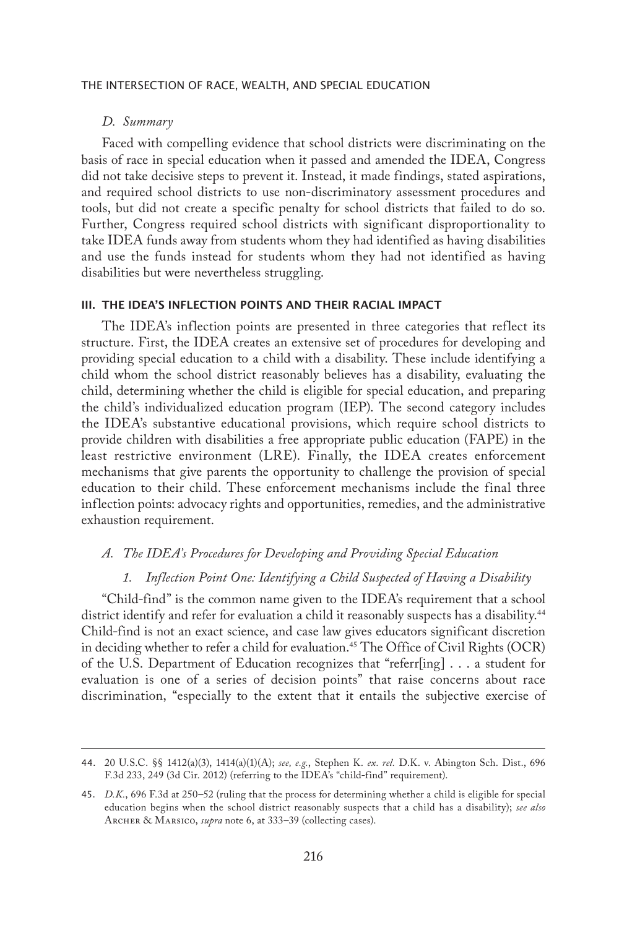## *D. Summary*

Faced with compelling evidence that school districts were discriminating on the basis of race in special education when it passed and amended the IDEA, Congress did not take decisive steps to prevent it. Instead, it made findings, stated aspirations, and required school districts to use non-discriminatory assessment procedures and tools, but did not create a specific penalty for school districts that failed to do so. Further, Congress required school districts with significant disproportionality to take IDEA funds away from students whom they had identified as having disabilities and use the funds instead for students whom they had not identified as having disabilities but were nevertheless struggling.

## III. THE IDEA'S INFLECTION POINTS AND THEIR RACIAL IMPACT

The IDEA's inflection points are presented in three categories that reflect its structure. First, the IDEA creates an extensive set of procedures for developing and providing special education to a child with a disability. These include identifying a child whom the school district reasonably believes has a disability, evaluating the child, determining whether the child is eligible for special education, and preparing the child's individualized education program (IEP). The second category includes the IDEA's substantive educational provisions, which require school districts to provide children with disabilities a free appropriate public education (FAPE) in the least restrictive environment (LRE). Finally, the IDEA creates enforcement mechanisms that give parents the opportunity to challenge the provision of special education to their child. These enforcement mechanisms include the final three inflection points: advocacy rights and opportunities, remedies, and the administrative exhaustion requirement.

## *A. The IDEA's Procedures for Developing and Providing Special Education*

#### *1. Inflection Point One: Identifying a Child Suspected of Having a Disability*

"Child-find" is the common name given to the IDEA's requirement that a school district identify and refer for evaluation a child it reasonably suspects has a disability.<sup>44</sup> Child-find is not an exact science, and case law gives educators significant discretion in deciding whether to refer a child for evaluation.<sup>45</sup> The Office of Civil Rights (OCR) of the U.S. Department of Education recognizes that "referr[ing] . . . a student for evaluation is one of a series of decision points" that raise concerns about race discrimination, "especially to the extent that it entails the subjective exercise of

<sup>44.</sup> 20 U.S.C. §§ 1412(a)(3), 1414(a)(1)(A); *see, e.g.*, Stephen K. *ex. rel.* D.K. v. Abington Sch. Dist., 696 F.3d 233, 249 (3d Cir. 2012) (referring to the IDEA's "child-find" requirement).

<sup>45.</sup> *D.K.*, 696 F.3d at 250–52 (ruling that the process for determining whether a child is eligible for special education begins when the school district reasonably suspects that a child has a disability); *see also*  Archer & Marsico, *supra* note 6, at 333–39 (collecting cases).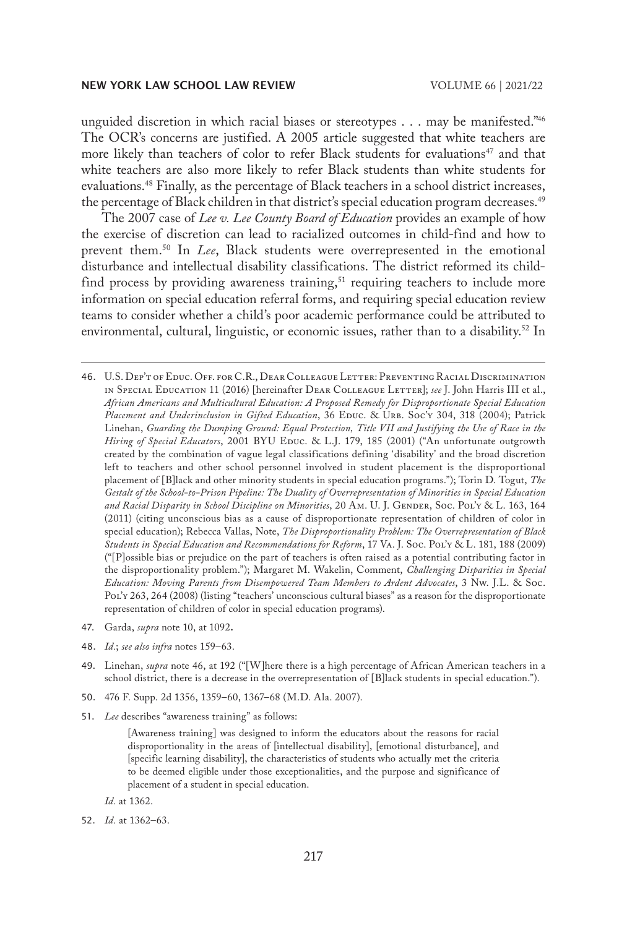unguided discretion in which racial biases or stereotypes . . . may be manifested.<sup>746</sup> The OCR's concerns are justified. A 2005 article suggested that white teachers are more likely than teachers of color to refer Black students for evaluations<sup>47</sup> and that white teachers are also more likely to refer Black students than white students for evaluations.<sup>48</sup> Finally, as the percentage of Black teachers in a school district increases, the percentage of Black children in that district's special education program decreases.<sup>49</sup>

The 2007 case of *Lee v. Lee County Board of Education* provides an example of how the exercise of discretion can lead to racialized outcomes in child-find and how to prevent them.50 In *Lee*, Black students were overrepresented in the emotional disturbance and intellectual disability classifications. The district reformed its childfind process by providing awareness training,<sup>51</sup> requiring teachers to include more information on special education referral forms, and requiring special education review teams to consider whether a child's poor academic performance could be attributed to environmental, cultural, linguistic, or economic issues, rather than to a disability.<sup>52</sup> In

46. U.S. Dep't of Educ. Off. for C.R., Dear Colleague Letter: Preventing Racial Discrimination in Special Education 11 (2016) [hereinafter Dear Colleague Letter]; *see* J. John Harris III et al., *African Americans and Multicultural Education: A Proposed Remedy for Disproportionate Special Education*  Placement and Underinclusion in Gifted Education, 36 EDUC. & URB. Soc'y 304, 318 (2004); Patrick Linehan, *Guarding the Dumping Ground: Equal Protection, Title VII and Justifying the Use of Race in the*  Hiring of Special Educators, 2001 BYU Educ. & L.J. 179, 185 (2001) ("An unfortunate outgrowth created by the combination of vague legal classifications defining 'disability' and the broad discretion left to teachers and other school personnel involved in student placement is the disproportional placement of [B]lack and other minority students in special education programs."); Torin D. Togut, *The Gestalt of the School-to-Prison Pipeline: The Duality of Overrepresentation of Minorities in Special Education and Racial Disparity in School Discipline on Minorities*, 20 Am. U. J. Gender, Soc. Pol'y & L. 163, 164 (2011) (citing unconscious bias as a cause of disproportionate representation of children of color in special education); Rebecca Vallas, Note, *The Disproportionality Problem: The Overrepresentation of Black Students in Special Education and Recommendations for Reform*, 17 Va. J. Soc. Pol'y & L. 181, 188 (2009) ("[P]ossible bias or prejudice on the part of teachers is often raised as a potential contributing factor in the disproportionality problem."); Margaret M. Wakelin, Comment, *Challenging Disparities in Special Education: Moving Parents from Disempowered Team Members to Ardent Advocates*, 3 Nw. J.L. & Soc. Pol'y 263, 264 (2008) (listing "teachers' unconscious cultural biases" as a reason for the disproportionate representation of children of color in special education programs).

- 47. Garda, *supra* note 10, at 1092**.**
- 48. *Id.*; *see also infra* notes 159–63.
- 49. Linehan, *supra* note 46, at 192 ("[W]here there is a high percentage of African American teachers in a school district, there is a decrease in the overrepresentation of [B]lack students in special education.").
- 50. 476 F. Supp. 2d 1356, 1359–60, 1367–68 (M.D. Ala. 2007).
- 51. *Lee* describes "awareness training" as follows:

52. *Id.* at 1362–63.

<sup>[</sup>Awareness training] was designed to inform the educators about the reasons for racial disproportionality in the areas of [intellectual disability], [emotional disturbance], and [specific learning disability], the characteristics of students who actually met the criteria to be deemed eligible under those exceptionalities, and the purpose and significance of placement of a student in special education.

*Id.* at 1362.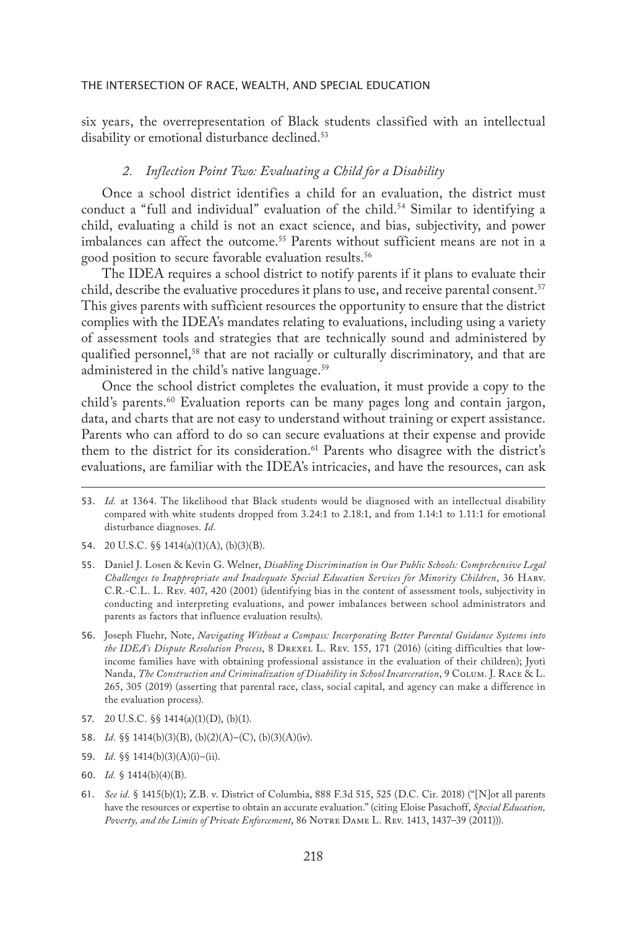six years, the overrepresentation of Black students classified with an intellectual disability or emotional disturbance declined.<sup>53</sup>

## *2. Inflection Point Two: Evaluating a Child for a Disability*

Once a school district identifies a child for an evaluation, the district must conduct a "full and individual" evaluation of the child.<sup>54</sup> Similar to identifying a child, evaluating a child is not an exact science, and bias, subjectivity, and power imbalances can affect the outcome.<sup>55</sup> Parents without sufficient means are not in a good position to secure favorable evaluation results.56

The IDEA requires a school district to notify parents if it plans to evaluate their child, describe the evaluative procedures it plans to use, and receive parental consent.<sup>57</sup> This gives parents with sufficient resources the opportunity to ensure that the district complies with the IDEA's mandates relating to evaluations, including using a variety of assessment tools and strategies that are technically sound and administered by qualified personnel,<sup>58</sup> that are not racially or culturally discriminatory, and that are administered in the child's native language.<sup>59</sup>

Once the school district completes the evaluation, it must provide a copy to the child's parents.<sup>60</sup> Evaluation reports can be many pages long and contain jargon, data, and charts that are not easy to understand without training or expert assistance. Parents who can afford to do so can secure evaluations at their expense and provide them to the district for its consideration.61 Parents who disagree with the district's evaluations, are familiar with the IDEA's intricacies, and have the resources, can ask

- 54. 20 U.S.C. §§ 1414(a)(1)(A), (b)(3)(B).
- 55. Daniel J. Losen & Kevin G. Welner, *Disabling Discrimination in Our Public Schools: Comprehensive Legal Challenges to Inappropriate and Inadequate Special Education Services for Minority Children*, 36 Harv. C.R.-C.L. L. Rev. 407, 420 (2001) (identifying bias in the content of assessment tools, subjectivity in conducting and interpreting evaluations, and power imbalances between school administrators and parents as factors that influence evaluation results).
- 56. Joseph Fluehr, Note, *Navigating Without a Compass: Incorporating Better Parental Guidance Systems into the IDEA's Dispute Resolution Process*, 8 Drexel L. Rev. 155, 171 (2016) (citing difficulties that lowincome families have with obtaining professional assistance in the evaluation of their children); Jyoti Nanda, *The Construction and Criminalization of Disability in School Incarceration*, 9 Colum. J. Race & L. 265, 305 (2019) (asserting that parental race, class, social capital, and agency can make a difference in the evaluation process).
- 57. 20 U.S.C. §§ 1414(a)(1)(D), (b)(1).
- 58. *Id.* §§ 1414(b)(3)(B), (b)(2)(A)–(C), (b)(3)(A)(iv).
- 59. *Id.* §§ 1414(b)(3)(A)(i)–(ii).
- 60. *Id.* § 1414(b)(4)(B).
- 61. *See id.* § 1415(b)(1); Z.B. v. District of Columbia, 888 F.3d 515, 525 (D.C. Cir. 2018) ("[N]ot all parents have the resources or expertise to obtain an accurate evaluation." (citing Eloise Pasachoff, *Special Education, Poverty, and the Limits of Private Enforcement*, 86 Notre Dame L. Rev. 1413, 1437–39 (2011))).

<sup>53.</sup> *Id.* at 1364. The likelihood that Black students would be diagnosed with an intellectual disability compared with white students dropped from 3.24:1 to 2.18:1, and from 1.14:1 to 1.11:1 for emotional disturbance diagnoses. *Id.*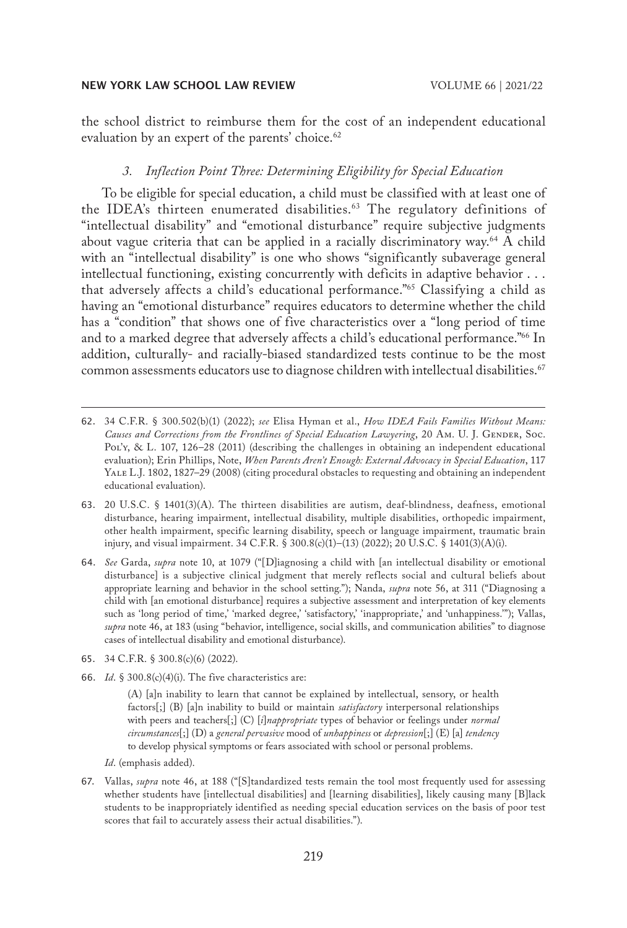the school district to reimburse them for the cost of an independent educational evaluation by an expert of the parents' choice.<sup>62</sup>

## *3. Inflection Point Three: Determining Eligibility for Special Education*

To be eligible for special education, a child must be classified with at least one of the IDEA's thirteen enumerated disabilities.<sup>63</sup> The regulatory definitions of "intellectual disability" and "emotional disturbance" require subjective judgments about vague criteria that can be applied in a racially discriminatory way.<sup>64</sup> A child with an "intellectual disability" is one who shows "significantly subaverage general intellectual functioning, existing concurrently with deficits in adaptive behavior . . . that adversely affects a child's educational performance."65 Classifying a child as having an "emotional disturbance" requires educators to determine whether the child has a "condition" that shows one of five characteristics over a "long period of time and to a marked degree that adversely affects a child's educational performance."<sup>66</sup> In addition, culturally- and racially-biased standardized tests continue to be the most common assessments educators use to diagnose children with intellectual disabilities.<sup>67</sup>

- 63. 20 U.S.C. § 1401(3)(A). The thirteen disabilities are autism, deaf-blindness, deafness, emotional disturbance, hearing impairment, intellectual disability, multiple disabilities, orthopedic impairment, other health impairment, specific learning disability, speech or language impairment, traumatic brain injury, and visual impairment. 34 C.F.R. § 300.8(c)(1)–(13) (2022); 20 U.S.C. § 1401(3)(A)(i).
- 64. *See* Garda, *supra* note 10, at 1079 ("[D]iagnosing a child with [an intellectual disability or emotional disturbance] is a subjective clinical judgment that merely reflects social and cultural beliefs about appropriate learning and behavior in the school setting."); Nanda, *supra* note 56, at 311 ("Diagnosing a child with [an emotional disturbance] requires a subjective assessment and interpretation of key elements such as 'long period of time,' 'marked degree,' 'satisfactory,' 'inappropriate,' and 'unhappiness.'"); Vallas, *supra* note 46, at 183 (using "behavior, intelligence, social skills, and communication abilities" to diagnose cases of intellectual disability and emotional disturbance).
- 65. 34 C.F.R. § 300.8(c)(6) (2022).
- 66. *Id*. § 300.8(c)(4)(i). The five characteristics are:

(A) [a]n inability to learn that cannot be explained by intellectual, sensory, or health factors[;] (B) [a]n inability to build or maintain *satisfactory* interpersonal relationships with peers and teachers[;] (C) [*i*]*nappropriate* types of behavior or feelings under *normal circumstances*[;] (D) a *general pervasive* mood of *unhappiness* or *depression*[;] (E) [a] *tendency* to develop physical symptoms or fears associated with school or personal problems.

*Id*. (emphasis added).

67. Vallas, *supra* note 46, at 188 ("[S]tandardized tests remain the tool most frequently used for assessing whether students have [intellectual disabilities] and [learning disabilities], likely causing many [B]lack students to be inappropriately identified as needing special education services on the basis of poor test scores that fail to accurately assess their actual disabilities.").

<sup>62.</sup> 34 C.F.R. § 300.502(b)(1) (2022); *see* Elisa Hyman et al., *How IDEA Fails Families Without Means:*  Causes and Corrections from the Frontlines of Special Education Lawyering, 20 Am. U. J. GENDER, Soc. Pol'y, & L. 107, 126–28 (2011) (describing the challenges in obtaining an independent educational evaluation); Erin Phillips, Note, *When Parents Aren't Enough: External Advocacy in Special Education*, 117 Yale L.J. 1802, 1827–29 (2008) (citing procedural obstacles to requesting and obtaining an independent educational evaluation).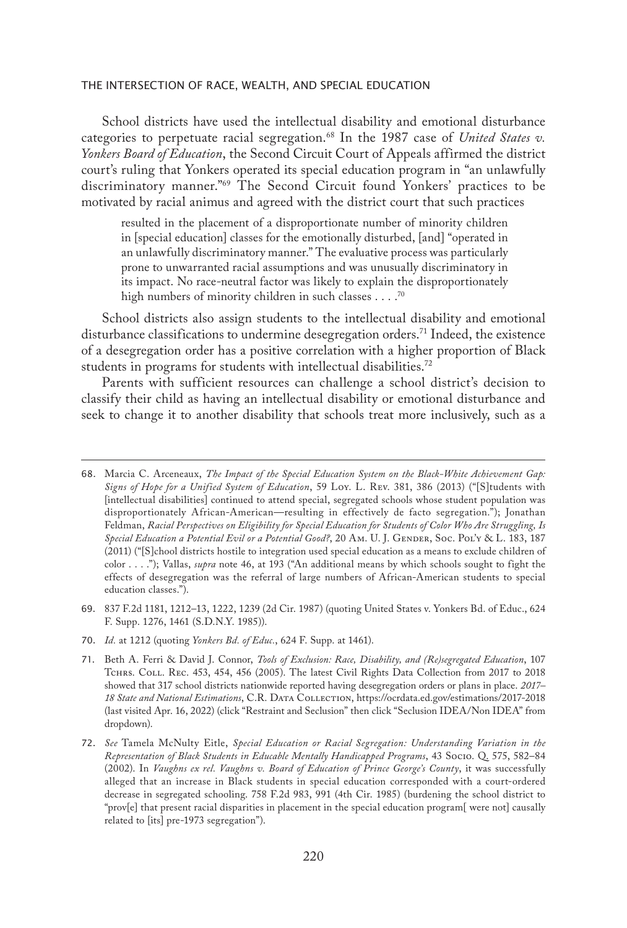School districts have used the intellectual disability and emotional disturbance categories to perpetuate racial segregation.<sup>68</sup> In the 1987 case of *United States v*. *Yonkers Board of Education*, the Second Circuit Court of Appeals affirmed the district court's ruling that Yonkers operated its special education program in "an unlawfully discriminatory manner."69 The Second Circuit found Yonkers' practices to be motivated by racial animus and agreed with the district court that such practices

resulted in the placement of a disproportionate number of minority children in [special education] classes for the emotionally disturbed, [and] "operated in an unlawfully discriminatory manner." The evaluative process was particularly prone to unwarranted racial assumptions and was unusually discriminatory in its impact. No race-neutral factor was likely to explain the disproportionately high numbers of minority children in such classes  $\ldots$ .<sup>70</sup>

School districts also assign students to the intellectual disability and emotional disturbance classifications to undermine desegregation orders.71 Indeed, the existence of a desegregation order has a positive correlation with a higher proportion of Black students in programs for students with intellectual disabilities.72

Parents with sufficient resources can challenge a school district's decision to classify their child as having an intellectual disability or emotional disturbance and seek to change it to another disability that schools treat more inclusively, such as a

- 69. 837 F.2d 1181, 1212–13, 1222, 1239 (2d Cir. 1987) (quoting United States v. Yonkers Bd. of Educ., 624 F. Supp. 1276, 1461 (S.D.N.Y. 1985)).
- 70. *Id.* at 1212 (quoting *Yonkers Bd. of Educ.*, 624 F. Supp. at 1461).

<sup>68.</sup> Marcia C. Arceneaux, *The Impact of the Special Education System on the Black-White Achievement Gap: Signs of Hope for a Unified System of Education*, 59 Loy. L. Rev. 381, 386 (2013) ("[S]tudents with [intellectual disabilities] continued to attend special, segregated schools whose student population was disproportionately African-American—resulting in effectively de facto segregation."); Jonathan Feldman, *Racial Perspectives on Eligibility for Special Education for Students of Color Who Are Struggling, Is*  Special Education a Potential Evil or a Potential Good?, 20 Am. U. J. GENDER, Soc. Pol'y & L. 183, 187 (2011) ("[S]chool districts hostile to integration used special education as a means to exclude children of color . . . ."); Vallas, *supra* note 46, at 193 ("An additional means by which schools sought to fight the effects of desegregation was the referral of large numbers of African-American students to special education classes.").

<sup>71.</sup> Beth A. Ferri & David J. Connor, *Tools of Exclusion: Race, Disability, and (Re)segregated Education*, 107 Tchrs. Coll. Rec. 453, 454, 456 (2005). The latest Civil Rights Data Collection from 2017 to 2018 showed that 317 school districts nationwide reported having desegregation orders or plans in place. *2017– 18 State and National Estimations*, C.R. Data Collection, https://ocrdata.ed.gov/estimations/2017-2018 (last visited Apr. 16, 2022) (click "Restraint and Seclusion" then click "Seclusion IDEA/Non IDEA" from dropdown).

<sup>72.</sup> *See* Tamela McNulty Eitle, *Special Education or Racial Segregation: Understanding Variation in the Representation of Black Students in Educable Mentally Handicapped Programs*, 43 Socio. Q. 575, 582–84 (2002). In *Vaughns ex rel. Vaughns v. Board of Education of Prince George's County*, it was successfully alleged that an increase in Black students in special education corresponded with a court-ordered decrease in segregated schooling. 758 F.2d 983, 991 (4th Cir. 1985) (burdening the school district to "prov[e] that present racial disparities in placement in the special education program[ were not] causally related to [its] pre-1973 segregation").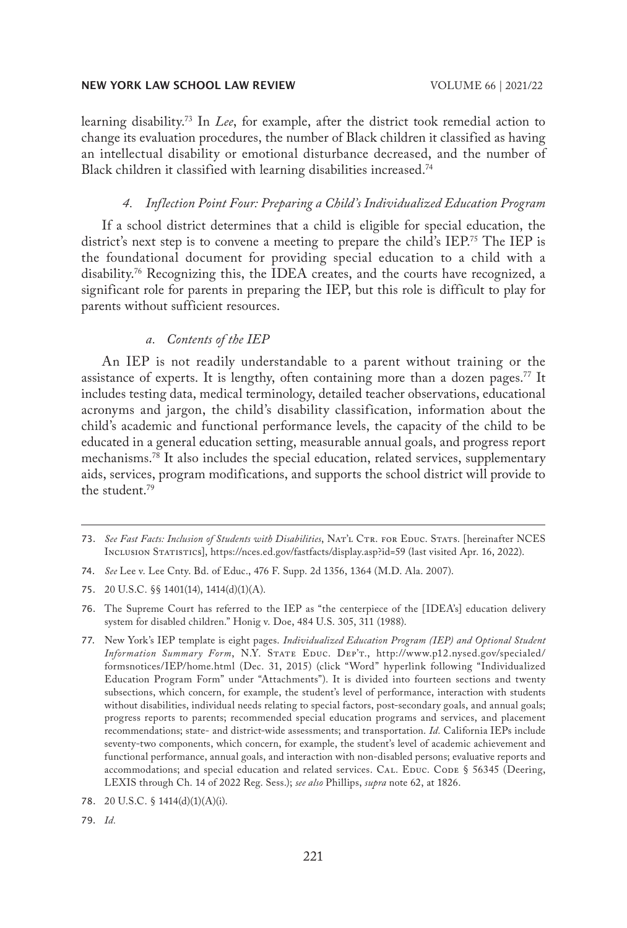learning disability.73 In *Lee*, for example, after the district took remedial action to change its evaluation procedures, the number of Black children it classified as having an intellectual disability or emotional disturbance decreased, and the number of Black children it classified with learning disabilities increased.<sup>74</sup>

## *4. Inflection Point Four: Preparing a Child's Individualized Education Program*

If a school district determines that a child is eligible for special education, the district's next step is to convene a meeting to prepare the child's IEP.<sup>75</sup> The IEP is the foundational document for providing special education to a child with a disability.76 Recognizing this, the IDEA creates, and the courts have recognized, a significant role for parents in preparing the IEP, but this role is difficult to play for parents without sufficient resources.

## *a. Contents of the IEP*

An IEP is not readily understandable to a parent without training or the assistance of experts. It is lengthy, often containing more than a dozen pages.<sup>77</sup> It includes testing data, medical terminology, detailed teacher observations, educational acronyms and jargon, the child's disability classification, information about the child's academic and functional performance levels, the capacity of the child to be educated in a general education setting, measurable annual goals, and progress report mechanisms.78 It also includes the special education, related services, supplementary aids, services, program modifications, and supports the school district will provide to the student.79

79. *Id.*

<sup>73.</sup> See Fast Facts: Inclusion of Students with Disabilities, NAT'L CTR. FOR EDUC. STATS. [hereinafter NCES Inclusion Statistics], https://nces.ed.gov/fastfacts/display.asp?id=59 (last visited Apr. 16, 2022).

<sup>74.</sup> *See* Lee v. Lee Cnty. Bd. of Educ., 476 F. Supp. 2d 1356, 1364 (M.D. Ala. 2007).

<sup>75.</sup> 20 U.S.C. §§ 1401(14), 1414(d)(1)(A).

<sup>76.</sup> The Supreme Court has referred to the IEP as "the centerpiece of the [IDEA's] education delivery system for disabled children." Honig v. Doe, 484 U.S. 305, 311 (1988).

<sup>77.</sup> New York's IEP template is eight pages. *Individualized Education Program (IEP) and Optional Student*  Information Summary Form, N.Y. STATE EDUC. DEP'T., http://www.p12.nysed.gov/specialed/ formsnotices/IEP/home.html (Dec. 31, 2015) (click "Word" hyperlink following "Individualized Education Program Form" under "Attachments"). It is divided into fourteen sections and twenty subsections, which concern, for example, the student's level of performance, interaction with students without disabilities, individual needs relating to special factors, post-secondary goals, and annual goals; progress reports to parents; recommended special education programs and services, and placement recommendations; state- and district-wide assessments; and transportation. *Id.* California IEPs include seventy-two components, which concern, for example, the student's level of academic achievement and functional performance, annual goals, and interaction with non-disabled persons; evaluative reports and accommodations; and special education and related services. CAL. EDUC. CODE  $\S$  56345 (Deering, LEXIS through Ch. 14 of 2022 Reg. Sess.); *see also* Phillips, *supra* note 62, at 1826.

<sup>78.</sup> 20 U.S.C. § 1414(d)(1)(A)(i).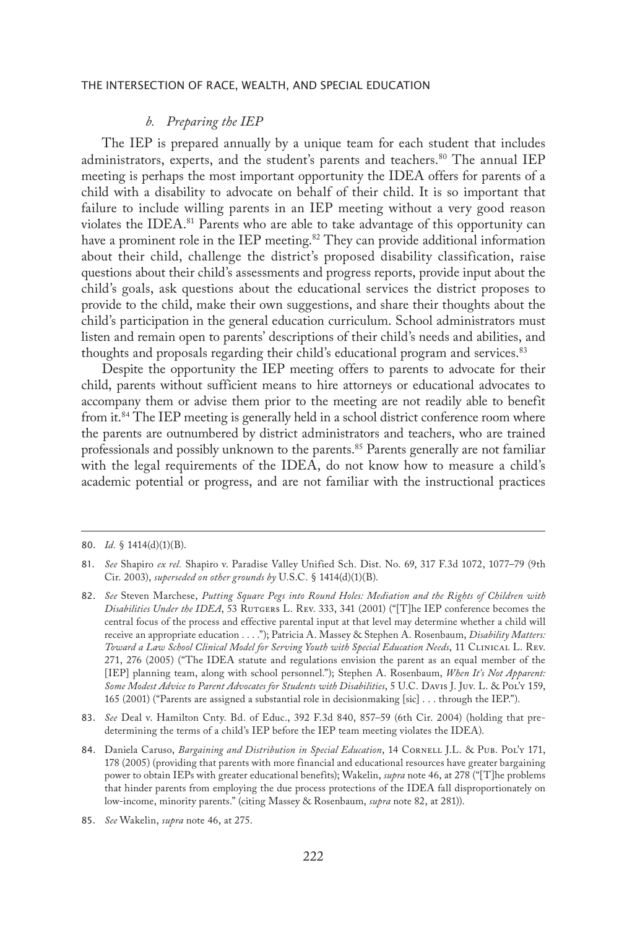## *b. Preparing the IEP*

The IEP is prepared annually by a unique team for each student that includes administrators, experts, and the student's parents and teachers.<sup>80</sup> The annual IEP meeting is perhaps the most important opportunity the IDEA offers for parents of a child with a disability to advocate on behalf of their child. It is so important that failure to include willing parents in an IEP meeting without a very good reason violates the IDEA.<sup>81</sup> Parents who are able to take advantage of this opportunity can have a prominent role in the IEP meeting.<sup>82</sup> They can provide additional information about their child, challenge the district's proposed disability classification, raise questions about their child's assessments and progress reports, provide input about the child's goals, ask questions about the educational services the district proposes to provide to the child, make their own suggestions, and share their thoughts about the child's participation in the general education curriculum. School administrators must listen and remain open to parents' descriptions of their child's needs and abilities, and thoughts and proposals regarding their child's educational program and services.<sup>83</sup>

Despite the opportunity the IEP meeting offers to parents to advocate for their child, parents without sufficient means to hire attorneys or educational advocates to accompany them or advise them prior to the meeting are not readily able to benefit from it.<sup>84</sup> The IEP meeting is generally held in a school district conference room where the parents are outnumbered by district administrators and teachers, who are trained professionals and possibly unknown to the parents.85 Parents generally are not familiar with the legal requirements of the IDEA, do not know how to measure a child's academic potential or progress, and are not familiar with the instructional practices

<sup>80.</sup> *Id.* § 1414(d)(1)(B).

<sup>81.</sup> *See* Shapiro *ex rel.* Shapiro v. Paradise Valley Unified Sch. Dist. No. 69, 317 F.3d 1072, 1077–79 (9th Cir. 2003), *superseded on other grounds by* U.S.C. § 1414(d)(1)(B).

<sup>82.</sup> *See* Steven Marchese, *Putting Square Pegs into Round Holes: Mediation and the Rights of Children with Disabilities Under the IDEA*, 53 RUTGERS L. REV. 333, 341 (2001) ("[T]he IEP conference becomes the central focus of the process and effective parental input at that level may determine whether a child will receive an appropriate education . . . ."); Patricia A. Massey & Stephen A. Rosenbaum, *Disability Matters: Toward a Law School Clinical Model for Serving Youth with Special Education Needs*, 11 Clinical L. Rev. 271, 276 (2005) ("The IDEA statute and regulations envision the parent as an equal member of the [IEP] planning team, along with school personnel."); Stephen A. Rosenbaum, *When It's Not Apparent: Some Modest Advice to Parent Advocates for Students with Disabilities*, 5 U.C. Davis J. Juv. L. & Pol'y 159, 165 (2001) ("Parents are assigned a substantial role in decisionmaking [sic] . . . through the IEP.").

<sup>83.</sup> *See* Deal v. Hamilton Cnty. Bd. of Educ., 392 F.3d 840, 857–59 (6th Cir. 2004) (holding that predetermining the terms of a child's IEP before the IEP team meeting violates the IDEA).

<sup>84.</sup> Daniela Caruso, *Bargaining and Distribution in Special Education*, 14 CORNELL J.L. & PUB. POL'Y 171, 178 (2005) (providing that parents with more financial and educational resources have greater bargaining power to obtain IEPs with greater educational benefits); Wakelin, *supra* note 46, at 278 ("[T]he problems that hinder parents from employing the due process protections of the IDEA fall disproportionately on low-income, minority parents." (citing Massey & Rosenbaum, *supra* note 82, at 281)).

<sup>85.</sup> *See* Wakelin, *supra* note 46, at 275.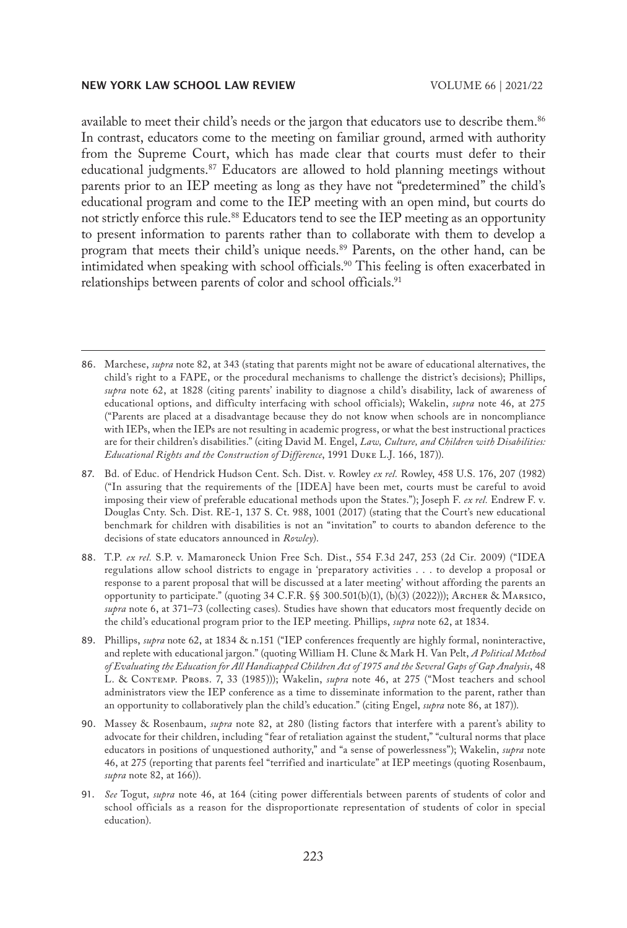available to meet their child's needs or the jargon that educators use to describe them.<sup>86</sup> In contrast, educators come to the meeting on familiar ground, armed with authority from the Supreme Court, which has made clear that courts must defer to their educational judgments.87 Educators are allowed to hold planning meetings without parents prior to an IEP meeting as long as they have not "predetermined" the child's educational program and come to the IEP meeting with an open mind, but courts do not strictly enforce this rule.<sup>88</sup> Educators tend to see the IEP meeting as an opportunity to present information to parents rather than to collaborate with them to develop a program that meets their child's unique needs.89 Parents, on the other hand, can be intimidated when speaking with school officials.<sup>90</sup> This feeling is often exacerbated in relationships between parents of color and school officials.<sup>91</sup>

- 86. Marchese, *supra* note 82, at 343 (stating that parents might not be aware of educational alternatives, the child's right to a FAPE, or the procedural mechanisms to challenge the district's decisions); Phillips, *supra* note 62, at 1828 (citing parents' inability to diagnose a child's disability, lack of awareness of educational options, and difficulty interfacing with school officials); Wakelin, *supra* note 46, at 275 ("Parents are placed at a disadvantage because they do not know when schools are in noncompliance with IEPs, when the IEPs are not resulting in academic progress, or what the best instructional practices are for their children's disabilities." (citing David M. Engel, *Law, Culture, and Children with Disabilities: Educational Rights and the Construction of Difference*, 1991 Duke L.J. 166, 187)).
- 87. Bd. of Educ. of Hendrick Hudson Cent. Sch. Dist. v. Rowley *ex rel.* Rowley, 458 U.S. 176, 207 (1982) ("In assuring that the requirements of the [IDEA] have been met, courts must be careful to avoid imposing their view of preferable educational methods upon the States."); Joseph F. *ex rel.* Endrew F. v. Douglas Cnty. Sch. Dist. RE-1, 137 S. Ct. 988, 1001 (2017) (stating that the Court's new educational benchmark for children with disabilities is not an "invitation" to courts to abandon deference to the decisions of state educators announced in *Rowley*).
- 88. T.P. *ex rel.* S.P. v. Mamaroneck Union Free Sch. Dist., 554 F.3d 247, 253 (2d Cir. 2009) ("IDEA regulations allow school districts to engage in 'preparatory activities . . . to develop a proposal or response to a parent proposal that will be discussed at a later meeting' without affording the parents an opportunity to participate." (quoting 34 C.F.R. §§ 300.501(b)(1), (b)(3) (2022))); Archer & Marsico, *supra* note 6, at 371–73 (collecting cases). Studies have shown that educators most frequently decide on the child's educational program prior to the IEP meeting. Phillips, *supra* note 62, at 1834.
- 89. Phillips, *supra* note 62, at 1834 & n.151 ("IEP conferences frequently are highly formal, noninteractive, and replete with educational jargon." (quoting William H. Clune & Mark H. Van Pelt, *A Political Method of Evaluating the Education for All Handicapped Children Act of 1975 and the Several Gaps of Gap Analysis*, 48 L. & Contemp. Probs. 7, 33 (1985))); Wakelin, *supra* note 46, at 275 ("Most teachers and school administrators view the IEP conference as a time to disseminate information to the parent, rather than an opportunity to collaboratively plan the child's education." (citing Engel, *supra* note 86, at 187)).
- 90. Massey & Rosenbaum, *supra* note 82, at 280 (listing factors that interfere with a parent's ability to advocate for their children, including "fear of retaliation against the student," "cultural norms that place educators in positions of unquestioned authority," and "a sense of powerlessness"); Wakelin, *supra* note 46, at 275 (reporting that parents feel "terrified and inarticulate" at IEP meetings (quoting Rosenbaum, *supra* note 82, at 166)).
- 91. *See* Togut, *supra* note 46, at 164 (citing power differentials between parents of students of color and school officials as a reason for the disproportionate representation of students of color in special education).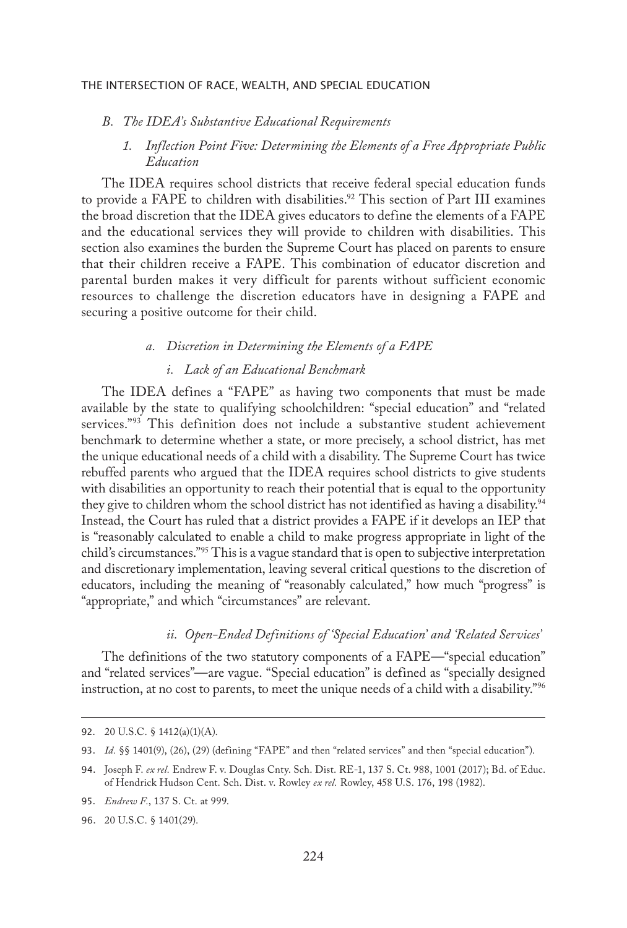## *B. The IDEA's Substantive Educational Requirements*

## *1. Inflection Point Five: Determining the Elements of a Free Appropriate Public Education*

The IDEA requires school districts that receive federal special education funds to provide a FAPE to children with disabilities.<sup>92</sup> This section of Part III examines the broad discretion that the IDEA gives educators to define the elements of a FAPE and the educational services they will provide to children with disabilities. This section also examines the burden the Supreme Court has placed on parents to ensure that their children receive a FAPE. This combination of educator discretion and parental burden makes it very difficult for parents without sufficient economic resources to challenge the discretion educators have in designing a FAPE and securing a positive outcome for their child.

## *a. Discretion in Determining the Elements of a FAPE*

## *i. Lack of an Educational Benchmark*

The IDEA defines a "FAPE" as having two components that must be made available by the state to qualifying schoolchildren: "special education" and "related services."<sup>93</sup> This definition does not include a substantive student achievement benchmark to determine whether a state, or more precisely, a school district, has met the unique educational needs of a child with a disability. The Supreme Court has twice rebuffed parents who argued that the IDEA requires school districts to give students with disabilities an opportunity to reach their potential that is equal to the opportunity they give to children whom the school district has not identified as having a disability.<sup>94</sup> Instead, the Court has ruled that a district provides a FAPE if it develops an IEP that is "reasonably calculated to enable a child to make progress appropriate in light of the child's circumstances."95 This is a vague standard that is open to subjective interpretation and discretionary implementation, leaving several critical questions to the discretion of educators, including the meaning of "reasonably calculated," how much "progress" is "appropriate," and which "circumstances" are relevant.

## *ii. Open-Ended Definitions of 'Special Education' and 'Related Services'*

The definitions of the two statutory components of a FAPE—"special education" and "related services"—are vague. "Special education" is defined as "specially designed instruction, at no cost to parents, to meet the unique needs of a child with a disability."96

<sup>92.</sup> 20 U.S.C. § 1412(a)(1)(A).

<sup>93.</sup> *Id.* §§ 1401(9), (26), (29) (defining "FAPE" and then "related services" and then "special education").

<sup>94.</sup> Joseph F. *ex rel.* Endrew F. v. Douglas Cnty. Sch. Dist. RE-1, 137 S. Ct. 988, 1001 (2017); Bd. of Educ. of Hendrick Hudson Cent. Sch. Dist. v. Rowley *ex rel.* Rowley, 458 U.S. 176, 198 (1982).

<sup>95.</sup> *Endrew F.*, 137 S. Ct. at 999.

<sup>96.</sup> 20 U.S.C. § 1401(29).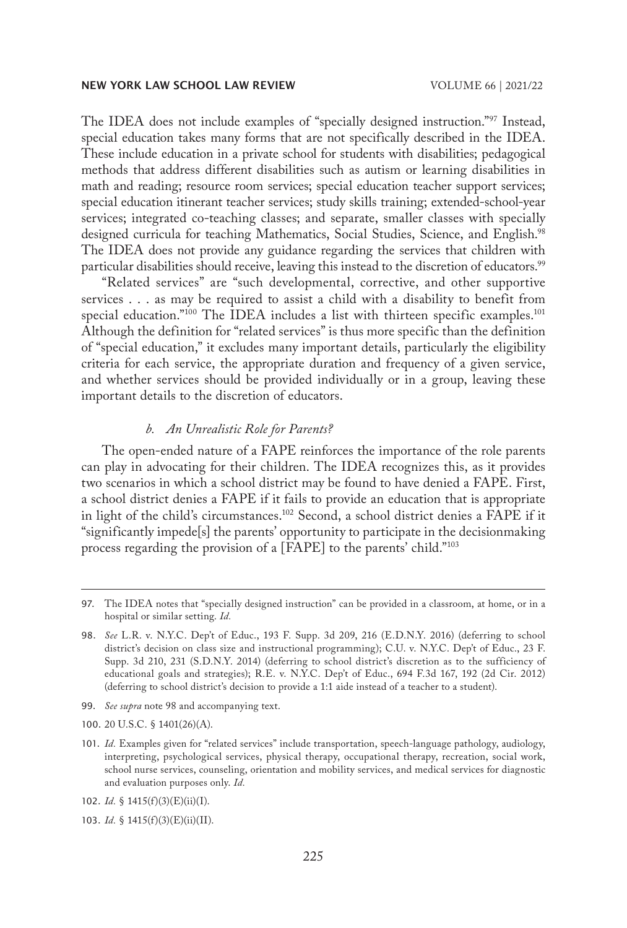The IDEA does not include examples of "specially designed instruction."97 Instead, special education takes many forms that are not specifically described in the IDEA. These include education in a private school for students with disabilities; pedagogical methods that address different disabilities such as autism or learning disabilities in math and reading; resource room services; special education teacher support services; special education itinerant teacher services; study skills training; extended-school-year services; integrated co-teaching classes; and separate, smaller classes with specially designed curricula for teaching Mathematics, Social Studies, Science, and English.<sup>98</sup> The IDEA does not provide any guidance regarding the services that children with particular disabilities should receive, leaving this instead to the discretion of educators.<sup>99</sup>

"Related services" are "such developmental, corrective, and other supportive services . . . as may be required to assist a child with a disability to benefit from special education."<sup>100</sup> The IDEA includes a list with thirteen specific examples.<sup>101</sup> Although the definition for "related services" is thus more specific than the definition of "special education," it excludes many important details, particularly the eligibility criteria for each service, the appropriate duration and frequency of a given service, and whether services should be provided individually or in a group, leaving these important details to the discretion of educators.

## *b. An Unrealistic Role for Parents?*

The open-ended nature of a FAPE reinforces the importance of the role parents can play in advocating for their children. The IDEA recognizes this, as it provides two scenarios in which a school district may be found to have denied a FAPE. First, a school district denies a FAPE if it fails to provide an education that is appropriate in light of the child's circumstances.102 Second, a school district denies a FAPE if it "significantly impede[s] the parents' opportunity to participate in the decisionmaking process regarding the provision of a [FAPE] to the parents' child."103

- 99. *See supra* note 98 and accompanying text.
- 100. 20 U.S.C. § 1401(26)(A).
- 101. *Id.* Examples given for "related services" include transportation, speech-language pathology, audiology, interpreting, psychological services, physical therapy, occupational therapy, recreation, social work, school nurse services, counseling, orientation and mobility services, and medical services for diagnostic and evaluation purposes only. *Id.*

102. *Id.* § 1415(f)(3)(E)(ii)(I).

<sup>97.</sup> The IDEA notes that "specially designed instruction" can be provided in a classroom, at home, or in a hospital or similar setting. *Id.*

<sup>98.</sup> *See* L.R. v. N.Y.C. Dep't of Educ., 193 F. Supp. 3d 209, 216 (E.D.N.Y. 2016) (deferring to school district's decision on class size and instructional programming); C.U. v. N.Y.C. Dep't of Educ., 23 F. Supp. 3d 210, 231 (S.D.N.Y. 2014) (deferring to school district's discretion as to the sufficiency of educational goals and strategies); R.E. v. N.Y.C. Dep't of Educ., 694 F.3d 167, 192 (2d Cir. 2012) (deferring to school district's decision to provide a 1:1 aide instead of a teacher to a student).

<sup>103.</sup> *Id.* § 1415(f)(3)(E)(ii)(II).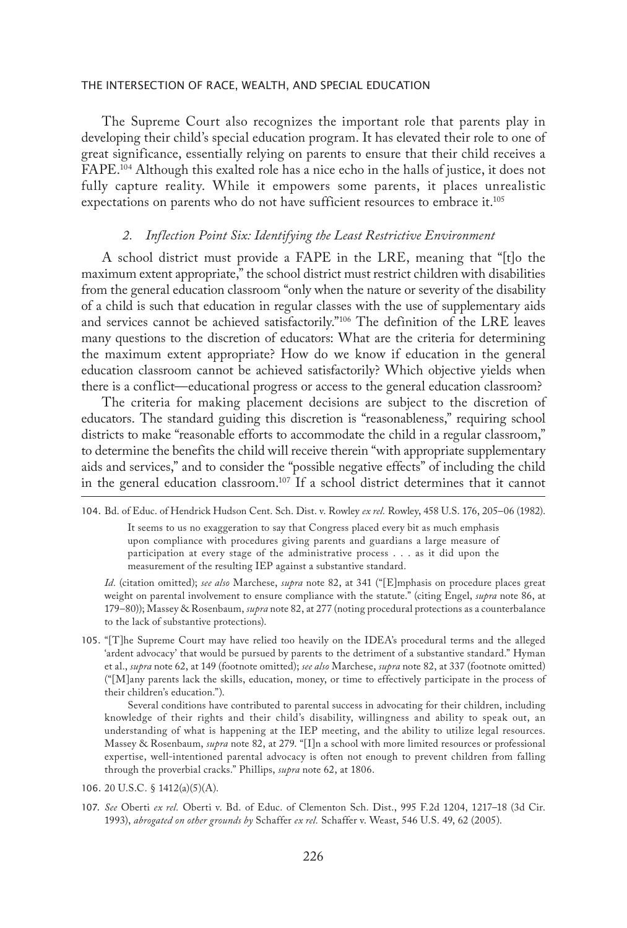The Supreme Court also recognizes the important role that parents play in developing their child's special education program. It has elevated their role to one of great significance, essentially relying on parents to ensure that their child receives a FAPE.104 Although this exalted role has a nice echo in the halls of justice, it does not fully capture reality. While it empowers some parents, it places unrealistic expectations on parents who do not have sufficient resources to embrace it.<sup>105</sup>

### *2. Inflection Point Six: Identifying the Least Restrictive Environment*

A school district must provide a FAPE in the LRE, meaning that "[t]o the maximum extent appropriate," the school district must restrict children with disabilities from the general education classroom "only when the nature or severity of the disability of a child is such that education in regular classes with the use of supplementary aids and services cannot be achieved satisfactorily."106 The definition of the LRE leaves many questions to the discretion of educators: What are the criteria for determining the maximum extent appropriate? How do we know if education in the general education classroom cannot be achieved satisfactorily? Which objective yields when there is a conflict—educational progress or access to the general education classroom?

The criteria for making placement decisions are subject to the discretion of educators. The standard guiding this discretion is "reasonableness," requiring school districts to make "reasonable efforts to accommodate the child in a regular classroom," to determine the benefits the child will receive therein "with appropriate supplementary aids and services," and to consider the "possible negative effects" of including the child in the general education classroom.107 If a school district determines that it cannot

It seems to us no exaggeration to say that Congress placed every bit as much emphasis upon compliance with procedures giving parents and guardians a large measure of participation at every stage of the administrative process . . . as it did upon the measurement of the resulting IEP against a substantive standard.

*Id.* (citation omitted); *see also* Marchese, *supra* note 82, at 341 ("[E]mphasis on procedure places great weight on parental involvement to ensure compliance with the statute." (citing Engel, *supra* note 86, at 179–80)); Massey & Rosenbaum, *supra* note 82, at 277 (noting procedural protections as a counterbalance to the lack of substantive protections).

105. "[T]he Supreme Court may have relied too heavily on the IDEA's procedural terms and the alleged 'ardent advocacy' that would be pursued by parents to the detriment of a substantive standard." Hyman et al., *supra* note 62, at 149 (footnote omitted); *see also* Marchese, *supra* note 82, at 337 (footnote omitted) ("[M]any parents lack the skills, education, money, or time to effectively participate in the process of their children's education.").

Several conditions have contributed to parental success in advocating for their children, including knowledge of their rights and their child's disability, willingness and ability to speak out, an understanding of what is happening at the IEP meeting, and the ability to utilize legal resources. Massey & Rosenbaum, *supra* note 82, at 279. "[I]n a school with more limited resources or professional expertise, well-intentioned parental advocacy is often not enough to prevent children from falling through the proverbial cracks." Phillips, *supra* note 62, at 1806.

- 106. 20 U.S.C. § 1412(a)(5)(A).
- 107. *See* Oberti *ex rel.* Oberti v. Bd. of Educ. of Clementon Sch. Dist., 995 F.2d 1204, 1217–18 (3d Cir. 1993), *abrogated on other grounds by* Schaffer *ex rel.* Schaffer v. Weast, 546 U.S. 49, 62 (2005).

<sup>104.</sup> Bd. of Educ. of Hendrick Hudson Cent. Sch. Dist. v. Rowley *ex rel.* Rowley, 458 U.S. 176, 205–06 (1982).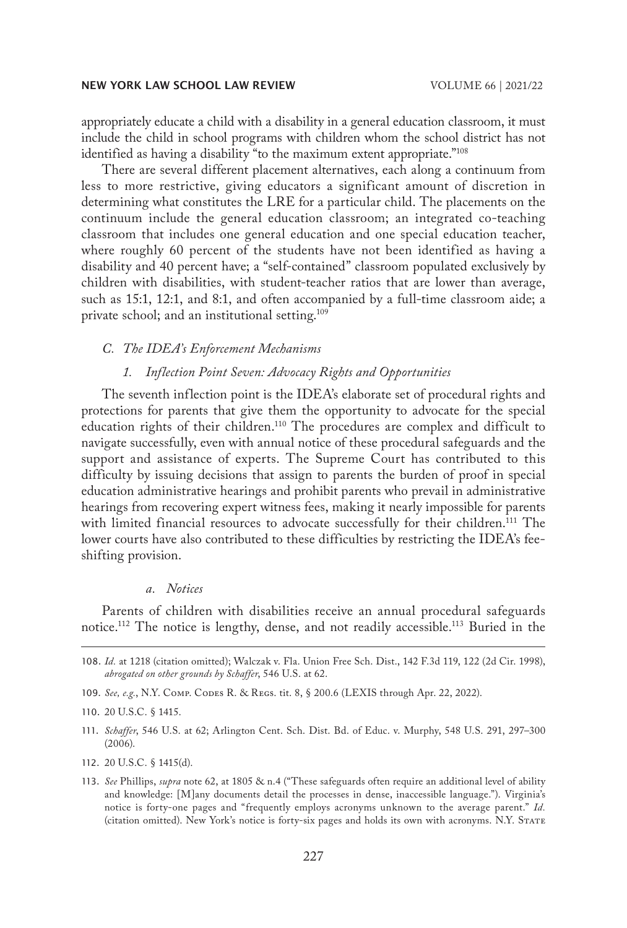appropriately educate a child with a disability in a general education classroom, it must include the child in school programs with children whom the school district has not identified as having a disability "to the maximum extent appropriate."<sup>108</sup>

There are several different placement alternatives, each along a continuum from less to more restrictive, giving educators a significant amount of discretion in determining what constitutes the LRE for a particular child. The placements on the continuum include the general education classroom; an integrated co-teaching classroom that includes one general education and one special education teacher, where roughly 60 percent of the students have not been identified as having a disability and 40 percent have; a "self-contained" classroom populated exclusively by children with disabilities, with student-teacher ratios that are lower than average, such as 15:1, 12:1, and 8:1, and often accompanied by a full-time classroom aide; a private school; and an institutional setting.<sup>109</sup>

#### *C. The IDEA's Enforcement Mechanisms*

## *1. Inflection Point Seven: Advocacy Rights and Opportunities*

The seventh inflection point is the IDEA's elaborate set of procedural rights and protections for parents that give them the opportunity to advocate for the special education rights of their children.110 The procedures are complex and difficult to navigate successfully, even with annual notice of these procedural safeguards and the support and assistance of experts. The Supreme Court has contributed to this difficulty by issuing decisions that assign to parents the burden of proof in special education administrative hearings and prohibit parents who prevail in administrative hearings from recovering expert witness fees, making it nearly impossible for parents with limited financial resources to advocate successfully for their children.<sup>111</sup> The lower courts have also contributed to these difficulties by restricting the IDEA's feeshifting provision.

## *a. Notices*

Parents of children with disabilities receive an annual procedural safeguards notice.112 The notice is lengthy, dense, and not readily accessible.113 Buried in the

- 108. *Id.* at 1218 (citation omitted); Walczak v. Fla. Union Free Sch. Dist., 142 F.3d 119, 122 (2d Cir. 1998), *abrogated on other grounds by Schaffer*, 546 U.S. at 62.
- 109. *See, e.g.*, N.Y. Comp. Codes R. & Regs. tit. 8, § 200.6 (LEXIS through Apr. 22, 2022).

- 111. *Schaffer*, 546 U.S. at 62; Arlington Cent. Sch. Dist. Bd. of Educ. v. Murphy, 548 U.S. 291, 297–300 (2006).
- 112. 20 U.S.C. § 1415(d).
- 113. *See* Phillips, *supra* note 62, at 1805 & n.4 ("These safeguards often require an additional level of ability and knowledge: [M]any documents detail the processes in dense, inaccessible language."). Virginia's notice is forty-one pages and "frequently employs acronyms unknown to the average parent." *Id.* (citation omitted). New York's notice is forty-six pages and holds its own with acronyms. N.Y. State

<sup>110.</sup> 20 U.S.C. § 1415.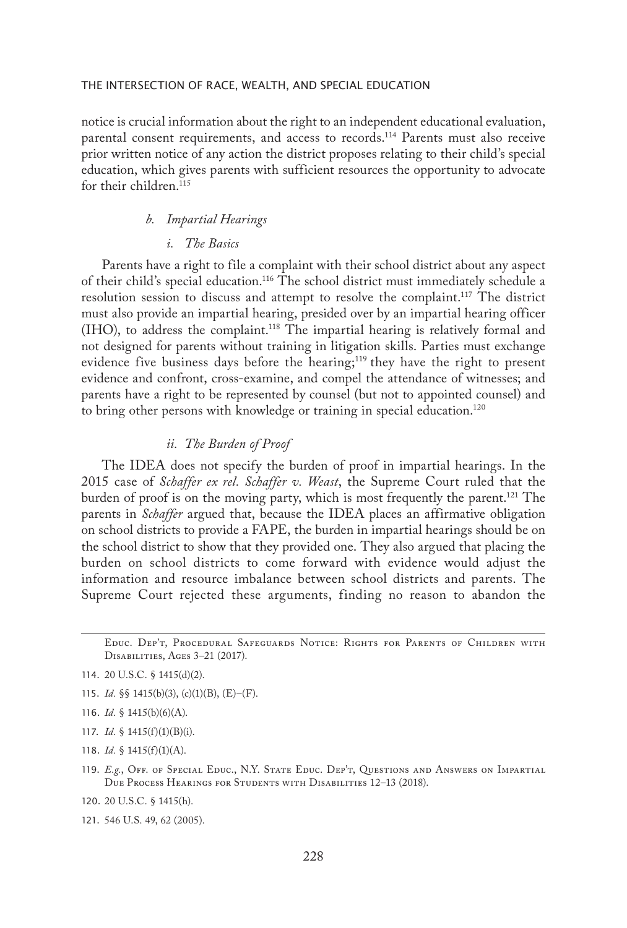notice is crucial information about the right to an independent educational evaluation, parental consent requirements, and access to records.114 Parents must also receive prior written notice of any action the district proposes relating to their child's special education, which gives parents with sufficient resources the opportunity to advocate for their children.<sup>115</sup>

## *b. Impartial Hearings*

## *i. The Basics*

Parents have a right to file a complaint with their school district about any aspect of their child's special education.116 The school district must immediately schedule a resolution session to discuss and attempt to resolve the complaint.<sup>117</sup> The district must also provide an impartial hearing, presided over by an impartial hearing officer (IHO), to address the complaint.118 The impartial hearing is relatively formal and not designed for parents without training in litigation skills. Parties must exchange evidence five business days before the hearing;<sup>119</sup> they have the right to present evidence and confront, cross-examine, and compel the attendance of witnesses; and parents have a right to be represented by counsel (but not to appointed counsel) and to bring other persons with knowledge or training in special education.120

## *ii. The Burden of Proof*

The IDEA does not specify the burden of proof in impartial hearings. In the 2015 case of *Schaffer ex rel. Schaffer v. Weast*, the Supreme Court ruled that the burden of proof is on the moving party, which is most frequently the parent.<sup>121</sup> The parents in *Schaffer* argued that, because the IDEA places an affirmative obligation on school districts to provide a FAPE, the burden in impartial hearings should be on the school district to show that they provided one. They also argued that placing the burden on school districts to come forward with evidence would adjust the information and resource imbalance between school districts and parents. The Supreme Court rejected these arguments, finding no reason to abandon the

- 115. *Id.* §§ 1415(b)(3), (c)(1)(B), (E)–(F).
- 116. *Id.* § 1415(b)(6)(A).
- 117. *Id.* § 1415(f)(1)(B)(i).
- 118. *Id.* § 1415(f)(1)(A).
- 119. *E.g.*, Off. of Special Educ., N.Y. State Educ. Dep't, Questions and Answers on Impartial Due Process Hearings for Students with Disabilities 12–13 (2018).
- 120. 20 U.S.C. § 1415(h).
- 121. 546 U.S. 49, 62 (2005).

Educ. Dep't, Procedural Safeguards Notice: Rights for Parents of Children with Disabilities, Ages 3–21 (2017).

<sup>114.</sup> 20 U.S.C. § 1415(d)(2).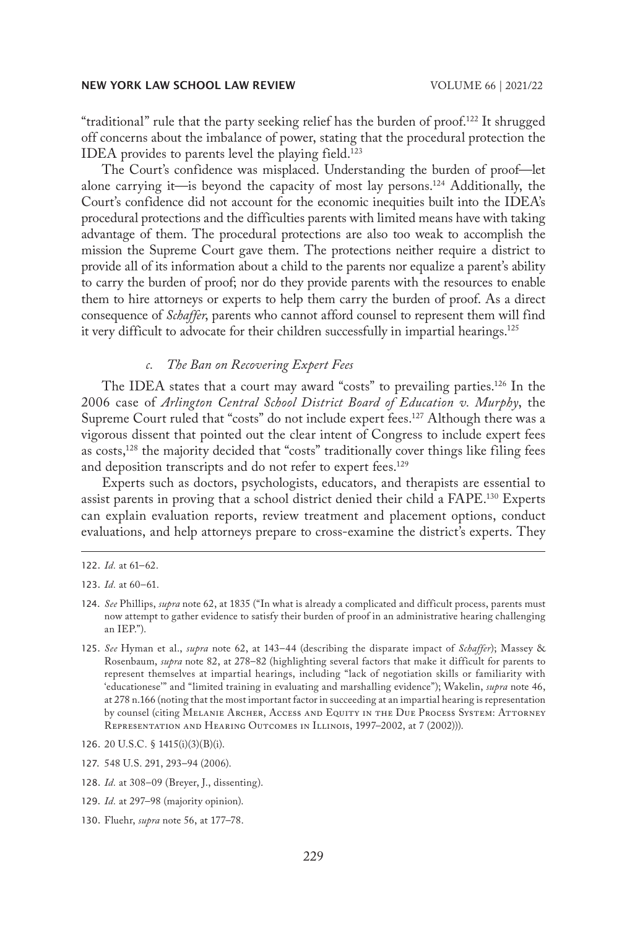"traditional" rule that the party seeking relief has the burden of proof.<sup>122</sup> It shrugged off concerns about the imbalance of power, stating that the procedural protection the IDEA provides to parents level the playing field.123

The Court's confidence was misplaced. Understanding the burden of proof—let alone carrying it—is beyond the capacity of most lay persons.124 Additionally, the Court's confidence did not account for the economic inequities built into the IDEA's procedural protections and the difficulties parents with limited means have with taking advantage of them. The procedural protections are also too weak to accomplish the mission the Supreme Court gave them. The protections neither require a district to provide all of its information about a child to the parents nor equalize a parent's ability to carry the burden of proof; nor do they provide parents with the resources to enable them to hire attorneys or experts to help them carry the burden of proof. As a direct consequence of *Schaffer*, parents who cannot afford counsel to represent them will find it very difficult to advocate for their children successfully in impartial hearings.<sup>125</sup>

## *c. The Ban on Recovering Expert Fees*

The IDEA states that a court may award "costs" to prevailing parties.126 In the 2006 case of *Arlington Central School District Board of Education v. Murphy*, the Supreme Court ruled that "costs" do not include expert fees.127 Although there was a vigorous dissent that pointed out the clear intent of Congress to include expert fees as costs,<sup>128</sup> the majority decided that "costs" traditionally cover things like filing fees and deposition transcripts and do not refer to expert fees.<sup>129</sup>

Experts such as doctors, psychologists, educators, and therapists are essential to assist parents in proving that a school district denied their child a FAPE.130 Experts can explain evaluation reports, review treatment and placement options, conduct evaluations, and help attorneys prepare to cross-examine the district's experts. They

128. *Id.* at 308–09 (Breyer, J., dissenting).

<sup>122.</sup> *Id.* at 61–62.

<sup>123.</sup> *Id.* at 60–61.

<sup>124.</sup> *See* Phillips, *supra* note 62, at 1835 ("In what is already a complicated and difficult process, parents must now attempt to gather evidence to satisfy their burden of proof in an administrative hearing challenging an IEP.").

<sup>125.</sup> *See* Hyman et al., *supra* note 62, at 143–44 (describing the disparate impact of *Schaffer*); Massey & Rosenbaum, *supra* note 82, at 278–82 (highlighting several factors that make it difficult for parents to represent themselves at impartial hearings, including "lack of negotiation skills or familiarity with 'educationese'" and "limited training in evaluating and marshalling evidence"); Wakelin, *supra* note 46, at 278 n.166 (noting that the most important factor in succeeding at an impartial hearing is representation by counsel (citing Melanie Archer, Access and Equity in the Due Process System: Attorney Representation and Hearing Outcomes in Illinois, 1997–2002, at 7 (2002))).

<sup>126.</sup> 20 U.S.C. § 1415(i)(3)(B)(i).

<sup>127.</sup> 548 U.S. 291, 293–94 (2006).

<sup>129.</sup> *Id.* at 297–98 (majority opinion).

<sup>130.</sup> Fluehr, *supra* note 56, at 177–78.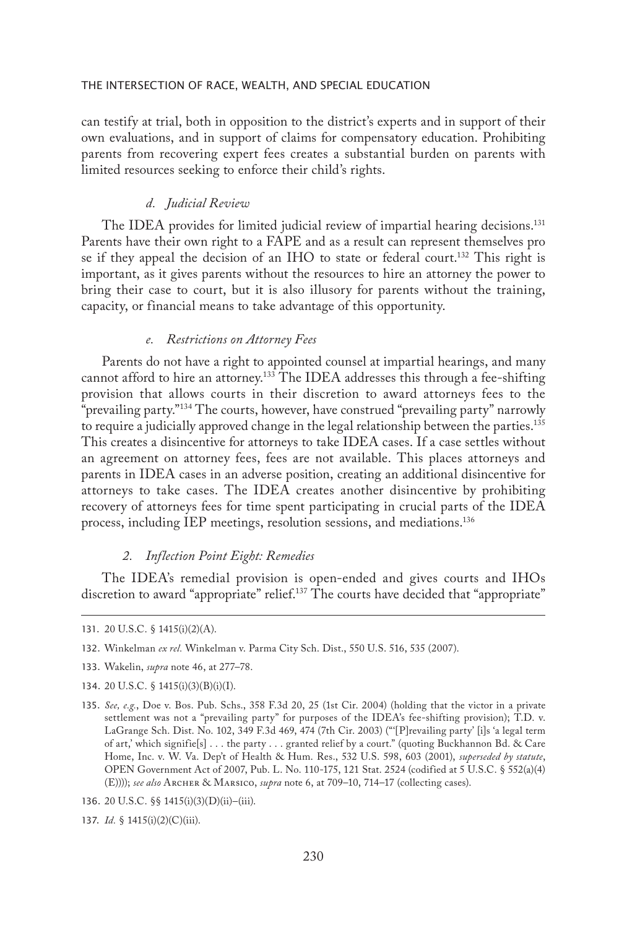can testify at trial, both in opposition to the district's experts and in support of their own evaluations, and in support of claims for compensatory education. Prohibiting parents from recovering expert fees creates a substantial burden on parents with limited resources seeking to enforce their child's rights.

## *d. Judicial Review*

The IDEA provides for limited judicial review of impartial hearing decisions.<sup>131</sup> Parents have their own right to a FAPE and as a result can represent themselves pro se if they appeal the decision of an IHO to state or federal court.<sup>132</sup> This right is important, as it gives parents without the resources to hire an attorney the power to bring their case to court, but it is also illusory for parents without the training, capacity, or financial means to take advantage of this opportunity.

## *e. Restrictions on Attorney Fees*

Parents do not have a right to appointed counsel at impartial hearings, and many cannot afford to hire an attorney.<sup>133</sup> The IDEA addresses this through a fee-shifting provision that allows courts in their discretion to award attorneys fees to the "prevailing party."134 The courts, however, have construed "prevailing party" narrowly to require a judicially approved change in the legal relationship between the parties.<sup>135</sup> This creates a disincentive for attorneys to take IDEA cases. If a case settles without an agreement on attorney fees, fees are not available. This places attorneys and parents in IDEA cases in an adverse position, creating an additional disincentive for attorneys to take cases. The IDEA creates another disincentive by prohibiting recovery of attorneys fees for time spent participating in crucial parts of the IDEA process, including IEP meetings, resolution sessions, and mediations.136

## *2. Inflection Point Eight: Remedies*

The IDEA's remedial provision is open-ended and gives courts and IHOs discretion to award "appropriate" relief.<sup>137</sup> The courts have decided that "appropriate"

- 133. Wakelin, *supra* note 46, at 277–78.
- 134. 20 U.S.C. § 1415(i)(3)(B)(i)(I).
- 135. *See, e.g.*, Doe v. Bos. Pub. Schs., 358 F.3d 20, 25 (1st Cir. 2004) (holding that the victor in a private settlement was not a "prevailing party" for purposes of the IDEA's fee-shifting provision); T.D. v. LaGrange Sch. Dist. No. 102, 349 F.3d 469, 474 (7th Cir. 2003) ("'[P]revailing party' [i]s 'a legal term of art,' which signifie[s] . . . the party . . . granted relief by a court." (quoting Buckhannon Bd. & Care Home, Inc. v. W. Va. Dep't of Health & Hum. Res., 532 U.S. 598, 603 (2001), *superseded by statute*, OPEN Government Act of 2007, Pub. L. No. 110-175, 121 Stat. 2524 (codified at 5 U.S.C. § 552(a)(4) (E)))); *see also* Archer & Marsico, *supra* note 6, at 709–10, 714–17 (collecting cases).
- 136. 20 U.S.C. §§ 1415(i)(3)(D)(ii)–(iii).
- 137. *Id.* § 1415(i)(2)(C)(iii).

<sup>131.</sup> 20 U.S.C. § 1415(i)(2)(A).

<sup>132.</sup> Winkelman *ex rel.* Winkelman v. Parma City Sch. Dist., 550 U.S. 516, 535 (2007).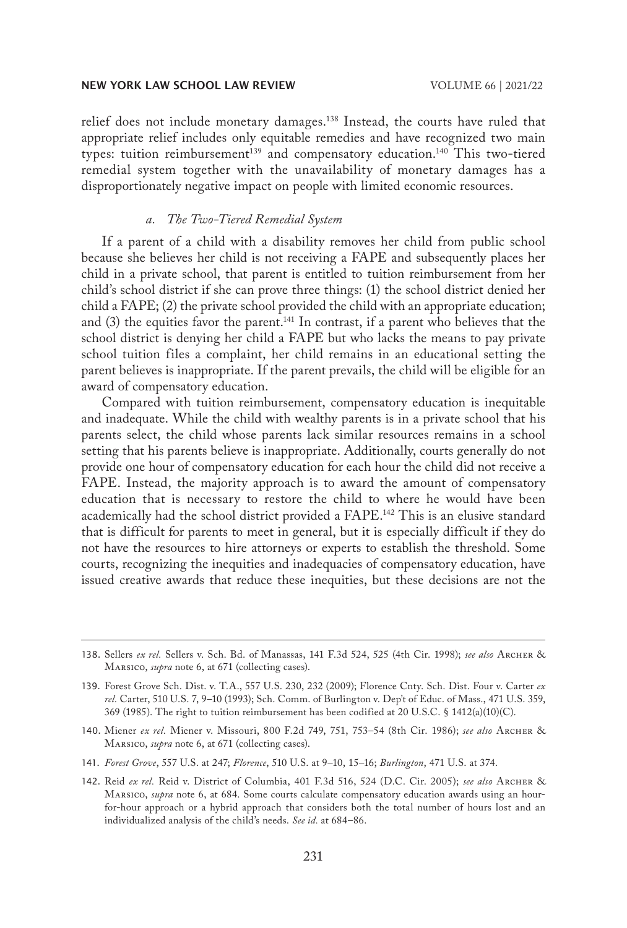relief does not include monetary damages.138 Instead, the courts have ruled that appropriate relief includes only equitable remedies and have recognized two main types: tuition reimbursement<sup>139</sup> and compensatory education.<sup>140</sup> This two-tiered remedial system together with the unavailability of monetary damages has a disproportionately negative impact on people with limited economic resources.

## *a. The Two-Tiered Remedial System*

If a parent of a child with a disability removes her child from public school because she believes her child is not receiving a FAPE and subsequently places her child in a private school, that parent is entitled to tuition reimbursement from her child's school district if she can prove three things: (1) the school district denied her child a FAPE; (2) the private school provided the child with an appropriate education; and  $(3)$  the equities favor the parent.<sup>141</sup> In contrast, if a parent who believes that the school district is denying her child a FAPE but who lacks the means to pay private school tuition files a complaint, her child remains in an educational setting the parent believes is inappropriate. If the parent prevails, the child will be eligible for an award of compensatory education.

Compared with tuition reimbursement, compensatory education is inequitable and inadequate. While the child with wealthy parents is in a private school that his parents select, the child whose parents lack similar resources remains in a school setting that his parents believe is inappropriate. Additionally, courts generally do not provide one hour of compensatory education for each hour the child did not receive a FAPE. Instead, the majority approach is to award the amount of compensatory education that is necessary to restore the child to where he would have been academically had the school district provided a FAPE.142 This is an elusive standard that is difficult for parents to meet in general, but it is especially difficult if they do not have the resources to hire attorneys or experts to establish the threshold. Some courts, recognizing the inequities and inadequacies of compensatory education, have issued creative awards that reduce these inequities, but these decisions are not the

- 141. *Forest Grove*, 557 U.S. at 247; *Florence*, 510 U.S. at 9–10, 15–16; *Burlington*, 471 U.S. at 374.
- 142. Reid *ex rel.* Reid v. District of Columbia, 401 F.3d 516, 524 (D.C. Cir. 2005); *see also* Archer & Marsico, *supra* note 6, at 684. Some courts calculate compensatory education awards using an hourfor-hour approach or a hybrid approach that considers both the total number of hours lost and an individualized analysis of the child's needs. *See id.* at 684–86.

<sup>138.</sup> Sellers *ex rel.* Sellers v. Sch. Bd. of Manassas, 141 F.3d 524, 525 (4th Cir. 1998); *see also* Archer & Marsico, *supra* note 6, at 671 (collecting cases).

<sup>139.</sup> Forest Grove Sch. Dist. v. T.A., 557 U.S. 230, 232 (2009); Florence Cnty. Sch. Dist. Four v. Carter *ex rel.* Carter, 510 U.S. 7, 9–10 (1993); Sch. Comm. of Burlington v. Dep't of Educ. of Mass., 471 U.S. 359, 369 (1985). The right to tuition reimbursement has been codified at 20 U.S.C. § 1412(a)(10)(C).

<sup>140.</sup> Miener *ex rel.* Miener v. Missouri, 800 F.2d 749, 751, 753–54 (8th Cir. 1986); *see also* Archer & Marsico, *supra* note 6, at 671 (collecting cases).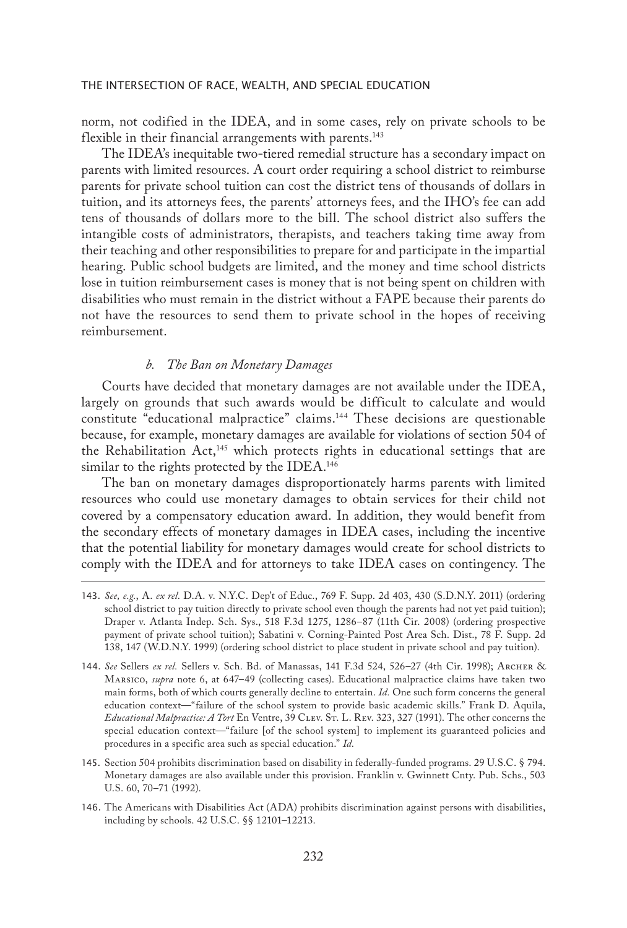norm, not codified in the IDEA, and in some cases, rely on private schools to be flexible in their financial arrangements with parents.<sup>143</sup>

The IDEA's inequitable two-tiered remedial structure has a secondary impact on parents with limited resources. A court order requiring a school district to reimburse parents for private school tuition can cost the district tens of thousands of dollars in tuition, and its attorneys fees, the parents' attorneys fees, and the IHO's fee can add tens of thousands of dollars more to the bill. The school district also suffers the intangible costs of administrators, therapists, and teachers taking time away from their teaching and other responsibilities to prepare for and participate in the impartial hearing. Public school budgets are limited, and the money and time school districts lose in tuition reimbursement cases is money that is not being spent on children with disabilities who must remain in the district without a FAPE because their parents do not have the resources to send them to private school in the hopes of receiving reimbursement.

## *b. The Ban on Monetary Damages*

Courts have decided that monetary damages are not available under the IDEA, largely on grounds that such awards would be difficult to calculate and would constitute "educational malpractice" claims.144 These decisions are questionable because, for example, monetary damages are available for violations of section 504 of the Rehabilitation Act,<sup>145</sup> which protects rights in educational settings that are similar to the rights protected by the IDEA.<sup>146</sup>

The ban on monetary damages disproportionately harms parents with limited resources who could use monetary damages to obtain services for their child not covered by a compensatory education award. In addition, they would benefit from the secondary effects of monetary damages in IDEA cases, including the incentive that the potential liability for monetary damages would create for school districts to comply with the IDEA and for attorneys to take IDEA cases on contingency. The

<sup>143.</sup> *See, e.g.*, A. *ex rel.* D.A. v. N.Y.C. Dep't of Educ., 769 F. Supp. 2d 403, 430 (S.D.N.Y. 2011) (ordering school district to pay tuition directly to private school even though the parents had not yet paid tuition); Draper v. Atlanta Indep. Sch. Sys., 518 F.3d 1275, 1286–87 (11th Cir. 2008) (ordering prospective payment of private school tuition); Sabatini v. Corning-Painted Post Area Sch. Dist., 78 F. Supp. 2d 138, 147 (W.D.N.Y. 1999) (ordering school district to place student in private school and pay tuition).

<sup>144.</sup> *See* Sellers *ex rel.* Sellers v. Sch. Bd. of Manassas, 141 F.3d 524, 526–27 (4th Cir. 1998); Archer & Marsico, *supra* note 6, at 647–49 (collecting cases). Educational malpractice claims have taken two main forms, both of which courts generally decline to entertain. *Id.* One such form concerns the general education context—"failure of the school system to provide basic academic skills." Frank D. Aquila, *Educational Malpractice: A Tort* En Ventre, 39 Clev. St. L. Rev. 323, 327 (1991). The other concerns the special education context—"failure [of the school system] to implement its guaranteed policies and procedures in a specific area such as special education." *Id.*

<sup>145.</sup> Section 504 prohibits discrimination based on disability in federally-funded programs. 29 U.S.C. § 794. Monetary damages are also available under this provision. Franklin v. Gwinnett Cnty. Pub. Schs., 503 U.S. 60, 70–71 (1992).

<sup>146.</sup> The Americans with Disabilities Act (ADA) prohibits discrimination against persons with disabilities, including by schools. 42 U.S.C. §§ 12101–12213.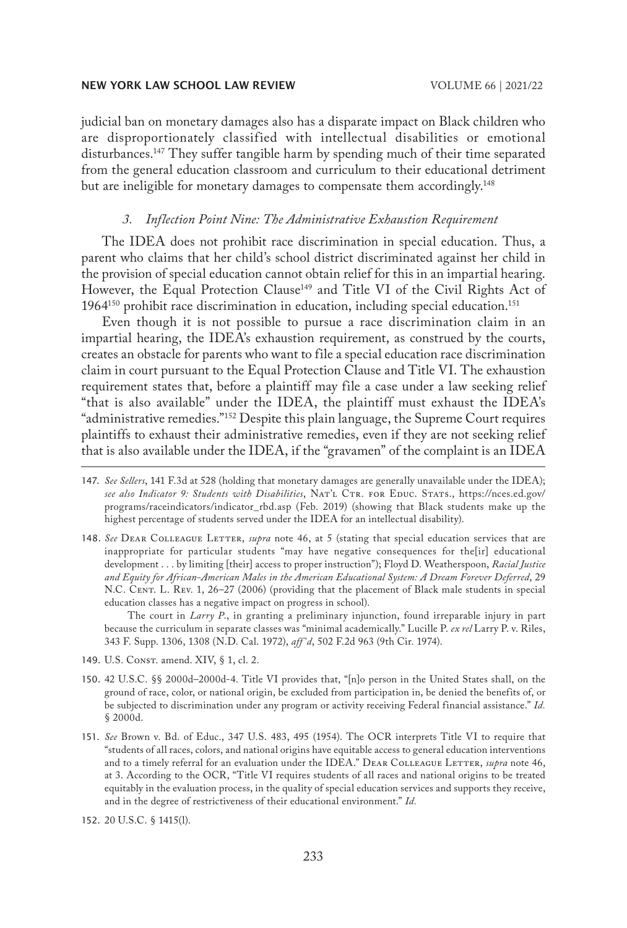judicial ban on monetary damages also has a disparate impact on Black children who are disproportionately classified with intellectual disabilities or emotional disturbances.147 They suffer tangible harm by spending much of their time separated from the general education classroom and curriculum to their educational detriment but are ineligible for monetary damages to compensate them accordingly.<sup>148</sup>

## *3. Inflection Point Nine: The Administrative Exhaustion Requirement*

The IDEA does not prohibit race discrimination in special education. Thus, a parent who claims that her child's school district discriminated against her child in the provision of special education cannot obtain relief for this in an impartial hearing. However, the Equal Protection Clause<sup>149</sup> and Title VI of the Civil Rights Act of  $1964^{150}$  prohibit race discrimination in education, including special education.<sup>151</sup>

Even though it is not possible to pursue a race discrimination claim in an impartial hearing, the IDEA's exhaustion requirement, as construed by the courts, creates an obstacle for parents who want to file a special education race discrimination claim in court pursuant to the Equal Protection Clause and Title VI. The exhaustion requirement states that, before a plaintiff may file a case under a law seeking relief "that is also available" under the IDEA, the plaintiff must exhaust the IDEA's "administrative remedies."<sup>152</sup> Despite this plain language, the Supreme Court requires plaintiffs to exhaust their administrative remedies, even if they are not seeking relief that is also available under the IDEA, if the "gravamen" of the complaint is an IDEA

148. *See* Dear Colleague Letter, *supra* note 46, at 5 (stating that special education services that are inappropriate for particular students "may have negative consequences for the[ir] educational development . . . by limiting [their] access to proper instruction"); Floyd D. Weatherspoon, *Racial Justice and Equity for African-American Males in the American Educational System: A Dream Forever Deferred*, 29 N.C. CENT. L. REV. 1, 26-27 (2006) (providing that the placement of Black male students in special education classes has a negative impact on progress in school).

The court in *Larry P*., in granting a preliminary injunction, found irreparable injury in part because the curriculum in separate classes was "minimal academically." Lucille P. *ex rel* Larry P. v. Riles, 343 F. Supp. 1306, 1308 (N.D. Cal. 1972), *aff 'd*, 502 F.2d 963 (9th Cir. 1974).

- 149. U.S. Const. amend. XIV, § 1, cl. 2.
- 150. 42 U.S.C. §§ 2000d–2000d-4. Title VI provides that, "[n]o person in the United States shall, on the ground of race, color, or national origin, be excluded from participation in, be denied the benefits of, or be subjected to discrimination under any program or activity receiving Federal financial assistance." *Id.* § 2000d.
- 151. *See* Brown v. Bd. of Educ., 347 U.S. 483, 495 (1954). The OCR interprets Title VI to require that "students of all races, colors, and national origins have equitable access to general education interventions and to a timely referral for an evaluation under the IDEA." DEAR COLLEAGUE LETTER, *supra* note 46, at 3. According to the OCR, "Title VI requires students of all races and national origins to be treated equitably in the evaluation process, in the quality of special education services and supports they receive, and in the degree of restrictiveness of their educational environment." *Id.*

152. 20 U.S.C. § 1415(l).

<sup>147.</sup> *See Sellers*, 141 F.3d at 528 (holding that monetary damages are generally unavailable under the IDEA); see also Indicator 9: Students with Disabilities, NAT'L CTR. FOR EDUC. STATS., https://nces.ed.gov/ programs/raceindicators/indicator\_rbd.asp (Feb. 2019) (showing that Black students make up the highest percentage of students served under the IDEA for an intellectual disability).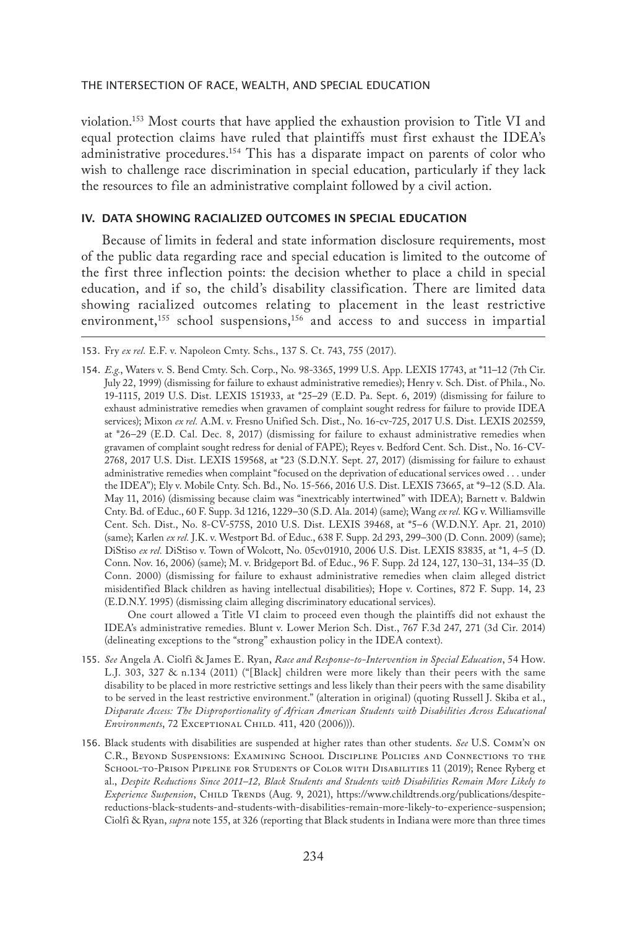violation.153 Most courts that have applied the exhaustion provision to Title VI and equal protection claims have ruled that plaintiffs must first exhaust the IDEA's administrative procedures.<sup>154</sup> This has a disparate impact on parents of color who wish to challenge race discrimination in special education, particularly if they lack the resources to file an administrative complaint followed by a civil action.

## IV. DATA SHOWING RACIALIZED OUTCOMES IN SPECIAL EDUCATION

Because of limits in federal and state information disclosure requirements, most of the public data regarding race and special education is limited to the outcome of the first three inflection points: the decision whether to place a child in special education, and if so, the child's disability classification. There are limited data showing racialized outcomes relating to placement in the least restrictive environment,<sup>155</sup> school suspensions,<sup>156</sup> and access to and success in impartial

One court allowed a Title VI claim to proceed even though the plaintiffs did not exhaust the IDEA's administrative remedies. Blunt v. Lower Merion Sch. Dist., 767 F.3d 247, 271 (3d Cir. 2014) (delineating exceptions to the "strong" exhaustion policy in the IDEA context).

<sup>153.</sup> Fry *ex rel.* E.F. v. Napoleon Cmty. Schs., 137 S. Ct. 743, 755 (2017).

<sup>154.</sup> *E.g.*, Waters v. S. Bend Cmty. Sch. Corp., No. 98-3365, 1999 U.S. App. LEXIS 17743, at \*11–12 (7th Cir. July 22, 1999) (dismissing for failure to exhaust administrative remedies); Henry v. Sch. Dist. of Phila., No. 19-1115, 2019 U.S. Dist. LEXIS 151933, at \*25–29 (E.D. Pa. Sept. 6, 2019) (dismissing for failure to exhaust administrative remedies when gravamen of complaint sought redress for failure to provide IDEA services); Mixon *ex rel.* A.M. v. Fresno Unified Sch. Dist., No. 16-cv-725, 2017 U.S. Dist. LEXIS 202559, at \*26–29 (E.D. Cal. Dec. 8, 2017) (dismissing for failure to exhaust administrative remedies when gravamen of complaint sought redress for denial of FAPE); Reyes v. Bedford Cent. Sch. Dist., No. 16-CV-2768, 2017 U.S. Dist. LEXIS 159568, at \*23 (S.D.N.Y. Sept. 27, 2017) (dismissing for failure to exhaust administrative remedies when complaint "focused on the deprivation of educational services owed . . . under the IDEA"); Ely v. Mobile Cnty. Sch. Bd., No. 15-566, 2016 U.S. Dist. LEXIS 73665, at \*9–12 (S.D. Ala. May 11, 2016) (dismissing because claim was "inextricably intertwined" with IDEA); Barnett v. Baldwin Cnty. Bd. of Educ., 60 F. Supp. 3d 1216, 1229–30 (S.D. Ala. 2014) (same); Wang *ex rel.* KG v. Williamsville Cent. Sch. Dist., No. 8-CV-575S, 2010 U.S. Dist. LEXIS 39468, at \*5–6 (W.D.N.Y. Apr. 21, 2010) (same); Karlen *ex rel.* J.K. v. Westport Bd. of Educ., 638 F. Supp. 2d 293, 299–300 (D. Conn. 2009) (same); DiStiso *ex rel.* DiStiso v. Town of Wolcott, No. 05cv01910, 2006 U.S. Dist. LEXIS 83835, at \*1, 4–5 (D. Conn. Nov. 16, 2006) (same); M. v. Bridgeport Bd. of Educ., 96 F. Supp. 2d 124, 127, 130–31, 134–35 (D. Conn. 2000) (dismissing for failure to exhaust administrative remedies when claim alleged district misidentified Black children as having intellectual disabilities); Hope v. Cortines, 872 F. Supp. 14, 23 (E.D.N.Y. 1995) (dismissing claim alleging discriminatory educational services).

<sup>155.</sup> *See* Angela A. Ciolfi & James E. Ryan, *Race and Response-to-Intervention in Special Education*, 54 How. L.J. 303, 327 & n.134 (2011) ("[Black] children were more likely than their peers with the same disability to be placed in more restrictive settings and less likely than their peers with the same disability to be served in the least restrictive environment." (alteration in original) (quoting Russell J. Skiba et al., *Disparate Access: The Disproportionality of African American Students with Disabilities Across Educational Environments*, 72 Exceptional Child. 411, 420 (2006))).

<sup>156.</sup> Black students with disabilities are suspended at higher rates than other students. *See* U.S. Comm'n on C.R., Beyond Suspensions: Examining School Discipline Policies and Connections to the SCHOOL-TO-PRISON PIPELINE FOR STUDENTS OF COLOR WITH DISABILITIES 11 (2019); Renee Ryberg et al., *Despite Reductions Since 2011–12, Black Students and Students with Disabilities Remain More Likely to Experience Suspension*, Child Trends (Aug. 9, 2021), https://www.childtrends.org/publications/despitereductions-black-students-and-students-with-disabilities-remain-more-likely-to-experience-suspension; Ciolfi & Ryan, *supra* note 155, at 326 (reporting that Black students in Indiana were more than three times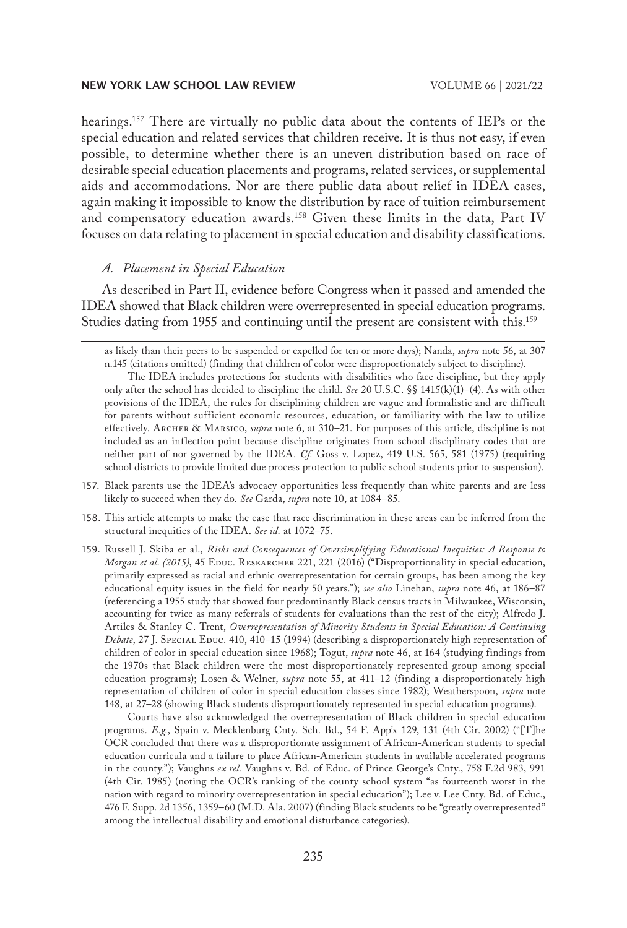hearings.157 There are virtually no public data about the contents of IEPs or the special education and related services that children receive. It is thus not easy, if even possible, to determine whether there is an uneven distribution based on race of desirable special education placements and programs, related services, or supplemental aids and accommodations. Nor are there public data about relief in IDEA cases, again making it impossible to know the distribution by race of tuition reimbursement and compensatory education awards.158 Given these limits in the data, Part IV focuses on data relating to placement in special education and disability classifications.

## *A. Placement in Special Education*

As described in Part II, evidence before Congress when it passed and amended the IDEA showed that Black children were overrepresented in special education programs. Studies dating from 1955 and continuing until the present are consistent with this.159

- 158. This article attempts to make the case that race discrimination in these areas can be inferred from the structural inequities of the IDEA. *See id.* at 1072–75.
- 159. Russell J. Skiba et al., *Risks and Consequences of Oversimplifying Educational Inequities: A Response to Morgan et al.* (2015), 45 EDUC. RESEARCHER 221, 221 (2016) ("Disproportionality in special education, primarily expressed as racial and ethnic overrepresentation for certain groups, has been among the key educational equity issues in the field for nearly 50 years."); *see also* Linehan, *supra* note 46, at 186–87 (referencing a 1955 study that showed four predominantly Black census tracts in Milwaukee, Wisconsin, accounting for twice as many referrals of students for evaluations than the rest of the city); Alfredo J. Artiles & Stanley C. Trent, *Overrepresentation of Minority Students in Special Education: A Continuing Debate*, 27 J. Special Educ. 410, 410–15 (1994) (describing a disproportionately high representation of children of color in special education since 1968); Togut, *supra* note 46, at 164 (studying findings from the 1970s that Black children were the most disproportionately represented group among special education programs); Losen & Welner, *supra* note 55, at 411–12 (finding a disproportionately high representation of children of color in special education classes since 1982); Weatherspoon, *supra* note 148, at 27–28 (showing Black students disproportionately represented in special education programs).

Courts have also acknowledged the overrepresentation of Black children in special education programs. *E.g.*, Spain v. Mecklenburg Cnty. Sch. Bd., 54 F. App'x 129, 131 (4th Cir. 2002) ("[T]he OCR concluded that there was a disproportionate assignment of African-American students to special education curricula and a failure to place African-American students in available accelerated programs in the county."); Vaughns *ex rel.* Vaughns v. Bd. of Educ. of Prince George's Cnty., 758 F.2d 983, 991 (4th Cir. 1985) (noting the OCR's ranking of the county school system "as fourteenth worst in the nation with regard to minority overrepresentation in special education"); Lee v. Lee Cnty. Bd. of Educ., 476 F. Supp. 2d 1356, 1359–60 (M.D. Ala. 2007) (finding Black students to be "greatly overrepresented" among the intellectual disability and emotional disturbance categories).

as likely than their peers to be suspended or expelled for ten or more days); Nanda, *supra* note 56, at 307 n.145 (citations omitted) (finding that children of color were disproportionately subject to discipline).

The IDEA includes protections for students with disabilities who face discipline, but they apply only after the school has decided to discipline the child. *See* 20 U.S.C. §§ 1415(k)(1)–(4). As with other provisions of the IDEA, the rules for disciplining children are vague and formalistic and are difficult for parents without sufficient economic resources, education, or familiarity with the law to utilize effectively. Archer & Marsico, *supra* note 6, at 310–21. For purposes of this article, discipline is not included as an inflection point because discipline originates from school disciplinary codes that are neither part of nor governed by the IDEA. *Cf.* Goss v. Lopez, 419 U.S. 565, 581 (1975) (requiring school districts to provide limited due process protection to public school students prior to suspension).

<sup>157.</sup> Black parents use the IDEA's advocacy opportunities less frequently than white parents and are less likely to succeed when they do. *See* Garda, *supra* note 10, at 1084–85.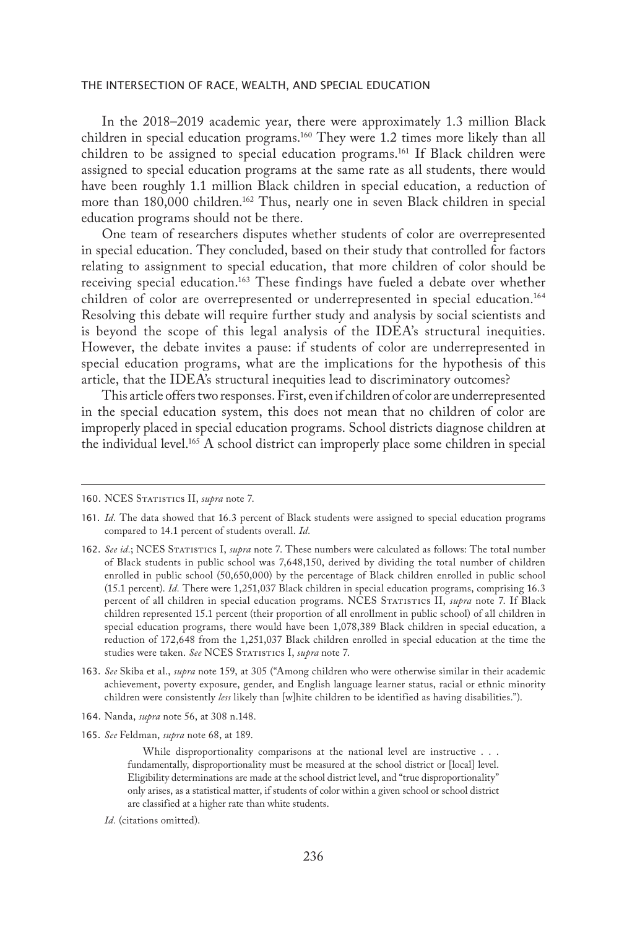In the 2018–2019 academic year, there were approximately 1.3 million Black children in special education programs.160 They were 1.2 times more likely than all children to be assigned to special education programs.<sup>161</sup> If Black children were assigned to special education programs at the same rate as all students, there would have been roughly 1.1 million Black children in special education, a reduction of more than 180,000 children.<sup>162</sup> Thus, nearly one in seven Black children in special education programs should not be there.

One team of researchers disputes whether students of color are overrepresented in special education. They concluded, based on their study that controlled for factors relating to assignment to special education, that more children of color should be receiving special education.<sup>163</sup> These findings have fueled a debate over whether children of color are overrepresented or underrepresented in special education.<sup>164</sup> Resolving this debate will require further study and analysis by social scientists and is beyond the scope of this legal analysis of the IDEA's structural inequities. However, the debate invites a pause: if students of color are underrepresented in special education programs, what are the implications for the hypothesis of this article, that the IDEA's structural inequities lead to discriminatory outcomes?

This article offers two responses. First, even if children of color are underrepresented in the special education system, this does not mean that no children of color are improperly placed in special education programs. School districts diagnose children at the individual level.165 A school district can improperly place some children in special

- 164. Nanda, *supra* note 56, at 308 n.148.
- 165. *See* Feldman, *supra* note 68, at 189.

While disproportionality comparisons at the national level are instructive . . . fundamentally, disproportionality must be measured at the school district or [local] level. Eligibility determinations are made at the school district level, and "true disproportionality" only arises, as a statistical matter, if students of color within a given school or school district are classified at a higher rate than white students.

*Id.* (citations omitted).

<sup>160.</sup> NCES STATISTICS II, *supra* note 7.

<sup>161.</sup> *Id.* The data showed that 16.3 percent of Black students were assigned to special education programs compared to 14.1 percent of students overall. *Id.*

<sup>162.</sup> *See id.*; NCES Statistics I, *supra* note 7. These numbers were calculated as follows: The total number of Black students in public school was 7,648,150, derived by dividing the total number of children enrolled in public school (50,650,000) by the percentage of Black children enrolled in public school (15.1 percent). *Id.* There were 1,251,037 Black children in special education programs, comprising 16.3 percent of all children in special education programs. NCES STATISTICS II, *supra* note 7. If Black children represented 15.1 percent (their proportion of all enrollment in public school) of all children in special education programs, there would have been 1,078,389 Black children in special education, a reduction of 172,648 from the 1,251,037 Black children enrolled in special education at the time the studies were taken. *See* NCES STATISTICS I, *supra* note 7.

<sup>163.</sup> *See* Skiba et al., *supra* note 159, at 305 ("Among children who were otherwise similar in their academic achievement, poverty exposure, gender, and English language learner status, racial or ethnic minority children were consistently *less* likely than [w]hite children to be identified as having disabilities.").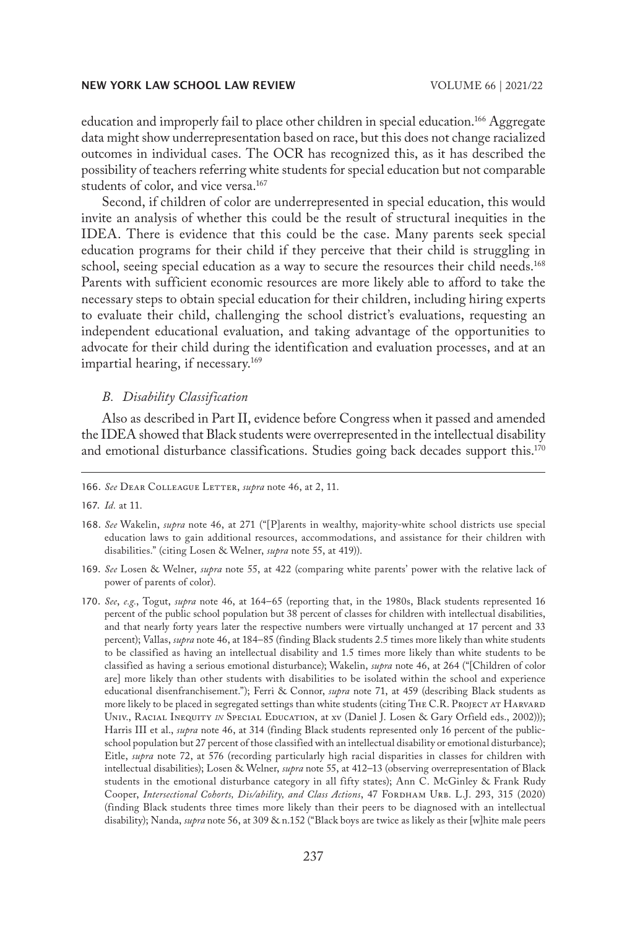education and improperly fail to place other children in special education.166 Aggregate data might show underrepresentation based on race, but this does not change racialized outcomes in individual cases. The OCR has recognized this, as it has described the possibility of teachers referring white students for special education but not comparable students of color, and vice versa.<sup>167</sup>

Second, if children of color are underrepresented in special education, this would invite an analysis of whether this could be the result of structural inequities in the IDEA. There is evidence that this could be the case. Many parents seek special education programs for their child if they perceive that their child is struggling in school, seeing special education as a way to secure the resources their child needs.<sup>168</sup> Parents with sufficient economic resources are more likely able to afford to take the necessary steps to obtain special education for their children, including hiring experts to evaluate their child, challenging the school district's evaluations, requesting an independent educational evaluation, and taking advantage of the opportunities to advocate for their child during the identification and evaluation processes, and at an impartial hearing, if necessary.<sup>169</sup>

## *B. Disability Classification*

Also as described in Part II, evidence before Congress when it passed and amended the IDEA showed that Black students were overrepresented in the intellectual disability and emotional disturbance classifications. Studies going back decades support this.<sup>170</sup>

- 169. *See* Losen & Welner, *supra* note 55, at 422 (comparing white parents' power with the relative lack of power of parents of color).
- 170. *See*, *e.g.*, Togut, *supra* note 46, at 164–65 (reporting that, in the 1980s, Black students represented 16 percent of the public school population but 38 percent of classes for children with intellectual disabilities, and that nearly forty years later the respective numbers were virtually unchanged at 17 percent and 33 percent); Vallas, *supra* note 46, at 184–85 (finding Black students 2.5 times more likely than white students to be classified as having an intellectual disability and 1.5 times more likely than white students to be classified as having a serious emotional disturbance); Wakelin, *supra* note 46, at 264 ("[Children of color are] more likely than other students with disabilities to be isolated within the school and experience educational disenfranchisement."); Ferri & Connor, *supra* note 71, at 459 (describing Black students as more likely to be placed in segregated settings than white students (citing THE C.R. PROJECT AT HARVARD UNIV., RACIAL INEQUITY *IN* SPECIAL EDUCATION, at xv (Daniel J. Losen & Gary Orfield eds., 2002))); Harris III et al., *supra* note 46, at 314 (finding Black students represented only 16 percent of the publicschool population but 27 percent of those classified with an intellectual disability or emotional disturbance); Eitle, *supra* note 72, at 576 (recording particularly high racial disparities in classes for children with intellectual disabilities); Losen & Welner, *supra* note 55, at 412–13 (observing overrepresentation of Black students in the emotional disturbance category in all fifty states); Ann C. McGinley & Frank Rudy Cooper, *Intersectional Cohorts, Dis/ability, and Class Actions*, 47 FORDHAM URB. L.J. 293, 315 (2020) (finding Black students three times more likely than their peers to be diagnosed with an intellectual disability); Nanda, *supra* note 56, at 309 & n.152 ("Black boys are twice as likely as their [w]hite male peers

<sup>166.</sup> *See* Dear Colleague Letter, *supra* note 46, at 2, 11.

<sup>167.</sup> *Id.* at 11.

<sup>168.</sup> *See* Wakelin, *supra* note 46, at 271 ("[P]arents in wealthy, majority-white school districts use special education laws to gain additional resources, accommodations, and assistance for their children with disabilities." (citing Losen & Welner, *supra* note 55, at 419)).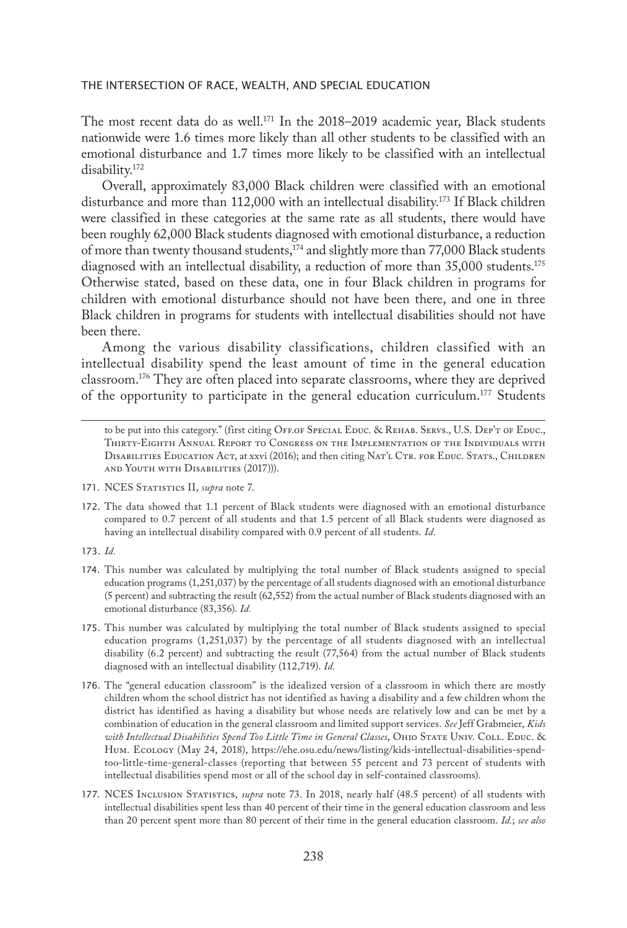The most recent data do as well.<sup>171</sup> In the 2018–2019 academic year, Black students nationwide were 1.6 times more likely than all other students to be classified with an emotional disturbance and 1.7 times more likely to be classified with an intellectual disability.172

Overall, approximately 83,000 Black children were classified with an emotional disturbance and more than 112,000 with an intellectual disability.<sup>173</sup> If Black children were classified in these categories at the same rate as all students, there would have been roughly 62,000 Black students diagnosed with emotional disturbance, a reduction of more than twenty thousand students, $174$  and slightly more than 77,000 Black students diagnosed with an intellectual disability, a reduction of more than 35,000 students.<sup>175</sup> Otherwise stated, based on these data, one in four Black children in programs for children with emotional disturbance should not have been there, and one in three Black children in programs for students with intellectual disabilities should not have been there.

Among the various disability classifications, children classified with an intellectual disability spend the least amount of time in the general education classroom.176 They are often placed into separate classrooms, where they are deprived of the opportunity to participate in the general education curriculum.<sup>177</sup> Students

- 174. This number was calculated by multiplying the total number of Black students assigned to special education programs (1,251,037) by the percentage of all students diagnosed with an emotional disturbance (5 percent) and subtracting the result (62,552) from the actual number of Black students diagnosed with an emotional disturbance (83,356). *Id.*
- 175. This number was calculated by multiplying the total number of Black students assigned to special education programs (1,251,037) by the percentage of all students diagnosed with an intellectual disability (6.2 percent) and subtracting the result (77,564) from the actual number of Black students diagnosed with an intellectual disability (112,719). *Id.*
- 176. The "general education classroom" is the idealized version of a classroom in which there are mostly children whom the school district has not identified as having a disability and a few children whom the district has identified as having a disability but whose needs are relatively low and can be met by a combination of education in the general classroom and limited support services. *See* Jeff Grabmeier, *Kids*  with Intellectual Disabilities Spend Too Little Time in General Classes, OHIO STATE UNIV. COLL. EDUC. & Hum. Ecology (May 24, 2018), https://ehe.osu.edu/news/listing/kids-intellectual-disabilities-spendtoo-little-time-general-classes (reporting that between 55 percent and 73 percent of students with intellectual disabilities spend most or all of the school day in self-contained classrooms).
- 177. NCES Inclusion Statistics, *supra* note 73. In 2018, nearly half (48.5 percent) of all students with intellectual disabilities spent less than 40 percent of their time in the general education classroom and less than 20 percent spent more than 80 percent of their time in the general education classroom. *Id.*; *see also*

to be put into this category." (first citing OFF.OF SPECIAL EDUC. & REHAB. SERVS., U.S. DEP'T OF EDUC., Thirty-Eighth Annual Report to Congress on the Implementation of the Individuals with DISABILITIES EDUCATION ACT, at xxvi (2016); and then citing NAT'L CTR. FOR EDUC. STATS., CHILDREN and Youth with Disabilities (2017))).

<sup>171.</sup> NCES STATISTICS II, *supra* note 7.

<sup>172.</sup> The data showed that 1.1 percent of Black students were diagnosed with an emotional disturbance compared to 0.7 percent of all students and that 1.5 percent of all Black students were diagnosed as having an intellectual disability compared with 0.9 percent of all students. *Id.*

<sup>173.</sup> *Id.*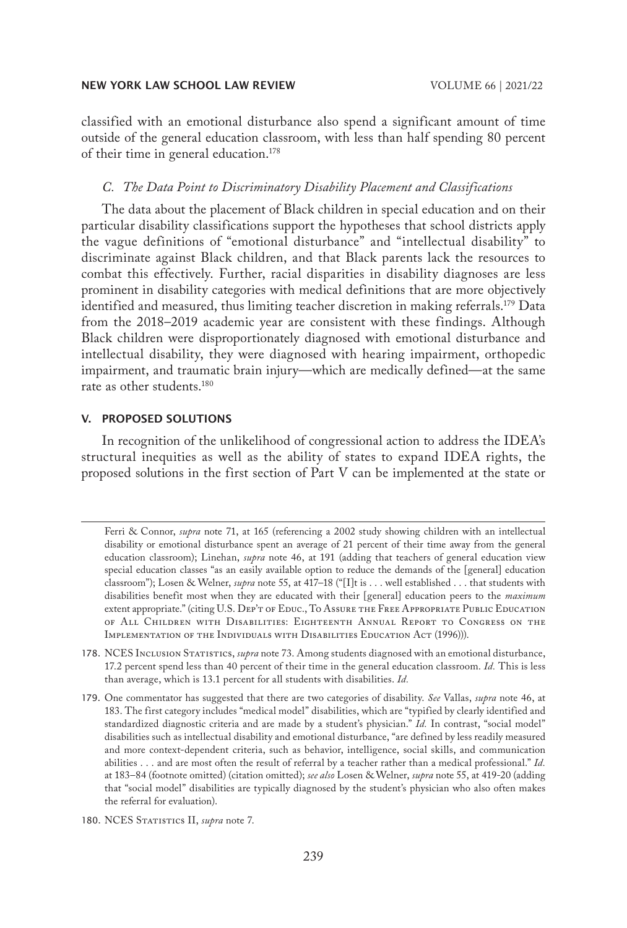classified with an emotional disturbance also spend a significant amount of time outside of the general education classroom, with less than half spending 80 percent of their time in general education.178

## *C. The Data Point to Discriminatory Disability Placement and Classifications*

The data about the placement of Black children in special education and on their particular disability classifications support the hypotheses that school districts apply the vague definitions of "emotional disturbance" and "intellectual disability" to discriminate against Black children, and that Black parents lack the resources to combat this effectively. Further, racial disparities in disability diagnoses are less prominent in disability categories with medical definitions that are more objectively identified and measured, thus limiting teacher discretion in making referrals.179 Data from the 2018–2019 academic year are consistent with these findings. Although Black children were disproportionately diagnosed with emotional disturbance and intellectual disability, they were diagnosed with hearing impairment, orthopedic impairment, and traumatic brain injury—which are medically defined—at the same rate as other students.180

## V. PROPOSED SOLUTIONS

In recognition of the unlikelihood of congressional action to address the IDEA's structural inequities as well as the ability of states to expand IDEA rights, the proposed solutions in the first section of Part V can be implemented at the state or

Ferri & Connor, *supra* note 71, at 165 (referencing a 2002 study showing children with an intellectual disability or emotional disturbance spent an average of 21 percent of their time away from the general education classroom); Linehan, *supra* note 46, at 191 (adding that teachers of general education view special education classes "as an easily available option to reduce the demands of the [general] education classroom"); Losen & Welner, *supra* note 55, at 417–18 ("[I]t is . . . well established . . . that students with disabilities benefit most when they are educated with their [general] education peers to the *maximum*  extent appropriate." (citing U.S. Dep't of Educ., To Assure the Free Appropriate Public Education of All Children with Disabilities: Eighteenth Annual Report to Congress on the IMPLEMENTATION OF THE INDIVIDUALS WITH DISABILITIES EDUCATION ACT (1996)).

<sup>178.</sup> NCES Inclusion Statistics, *supra* note 73. Among students diagnosed with an emotional disturbance, 17.2 percent spend less than 40 percent of their time in the general education classroom. *Id.* This is less than average, which is 13.1 percent for all students with disabilities. *Id.*

<sup>179.</sup> One commentator has suggested that there are two categories of disability. *See* Vallas, *supra* note 46, at 183. The first category includes "medical model" disabilities, which are "typified by clearly identified and standardized diagnostic criteria and are made by a student's physician." *Id.* In contrast, "social model" disabilities such as intellectual disability and emotional disturbance, "are defined by less readily measured and more context-dependent criteria, such as behavior, intelligence, social skills, and communication abilities . . . and are most often the result of referral by a teacher rather than a medical professional." *Id.* at 183–84 (footnote omitted) (citation omitted); *see also* Losen & Welner, *supra* note 55, at 419-20 (adding that "social model" disabilities are typically diagnosed by the student's physician who also often makes the referral for evaluation).

<sup>180.</sup> NCES STATISTICS II, *supra* note 7.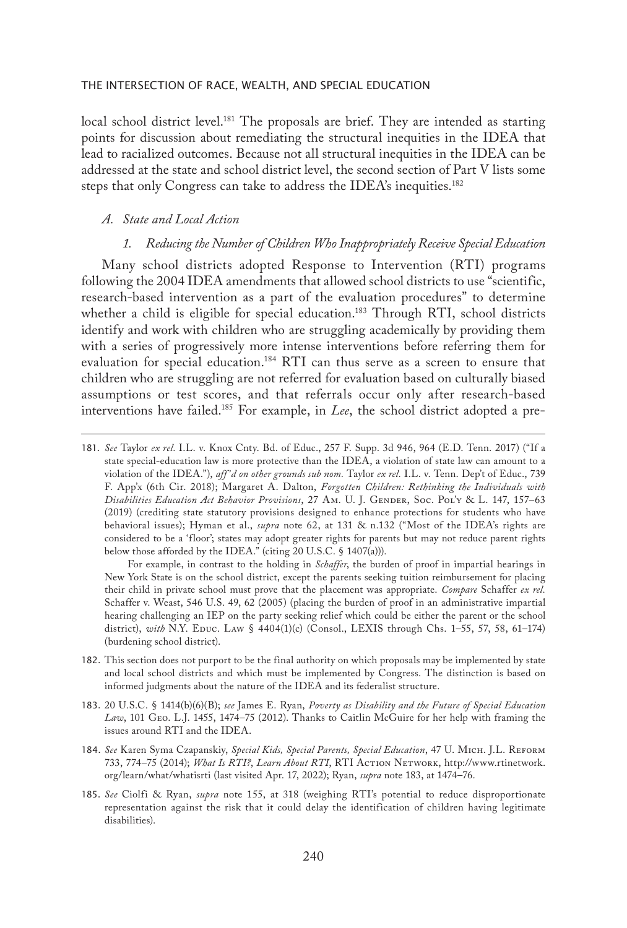local school district level.<sup>181</sup> The proposals are brief. They are intended as starting points for discussion about remediating the structural inequities in the IDEA that lead to racialized outcomes. Because not all structural inequities in the IDEA can be addressed at the state and school district level, the second section of Part V lists some steps that only Congress can take to address the IDEA's inequities.<sup>182</sup>

## *A. State and Local Action*

## *1. Reducing the Number of Children Who Inappropriately Receive Special Education*

Many school districts adopted Response to Intervention (RTI) programs following the 2004 IDEA amendments that allowed school districts to use "scientific, research-based intervention as a part of the evaluation procedures" to determine whether a child is eligible for special education.<sup>183</sup> Through RTI, school districts identify and work with children who are struggling academically by providing them with a series of progressively more intense interventions before referring them for evaluation for special education.184 RTI can thus serve as a screen to ensure that children who are struggling are not referred for evaluation based on culturally biased assumptions or test scores, and that referrals occur only after research-based interventions have failed.185 For example, in *Lee*, the school district adopted a pre-

For example, in contrast to the holding in *Schaffer*, the burden of proof in impartial hearings in New York State is on the school district, except the parents seeking tuition reimbursement for placing their child in private school must prove that the placement was appropriate. *Compare* Schaffer *ex rel.* Schaffer v. Weast, 546 U.S. 49, 62 (2005) (placing the burden of proof in an administrative impartial hearing challenging an IEP on the party seeking relief which could be either the parent or the school district), with N.Y. Educ. Law § 4404(1)(c) (Consol., LEXIS through Chs. 1-55, 57, 58, 61-174) (burdening school district).

- 182. This section does not purport to be the final authority on which proposals may be implemented by state and local school districts and which must be implemented by Congress. The distinction is based on informed judgments about the nature of the IDEA and its federalist structure.
- 183. 20 U.S.C. § 1414(b)(6)(B); *see* James E. Ryan, *Poverty as Disability and the Future of Special Education Law*, 101 Geo. L.J. 1455, 1474–75 (2012). Thanks to Caitlin McGuire for her help with framing the issues around RTI and the IDEA.
- 184. *See* Karen Syma Czapanskiy, *Special Kids, Special Parents, Special Education*, 47 U. Mich. J.L. Reform 733, 774–75 (2014); *What Is RTI?*, *Learn About RTI*, RTI Action Network, http://www.rtinetwork. org/learn/what/whatisrti (last visited Apr. 17, 2022); Ryan, *supra* note 183, at 1474–76.
- 185. *See* Ciolfi & Ryan, *supra* note 155, at 318 (weighing RTI's potential to reduce disproportionate representation against the risk that it could delay the identification of children having legitimate disabilities).

<sup>181.</sup> *See* Taylor *ex rel.* I.L. v. Knox Cnty. Bd. of Educ., 257 F. Supp. 3d 946, 964 (E.D. Tenn. 2017) ("If a state special-education law is more protective than the IDEA, a violation of state law can amount to a violation of the IDEA."), *aff 'd on other grounds sub nom.* Taylor *ex rel.* I.L. v. Tenn. Dep't of Educ., 739 F. App'x (6th Cir. 2018); Margaret A. Dalton, *Forgotten Children: Rethinking the Individuals with*  Disabilities Education Act Behavior Provisions, 27 Am. U. J. GENDER, Soc. Pol'y & L. 147, 157-63 (2019) (crediting state statutory provisions designed to enhance protections for students who have behavioral issues); Hyman et al., *supra* note 62, at 131 & n.132 ("Most of the IDEA's rights are considered to be a 'floor'; states may adopt greater rights for parents but may not reduce parent rights below those afforded by the IDEA." (citing 20 U.S.C. § 1407(a))).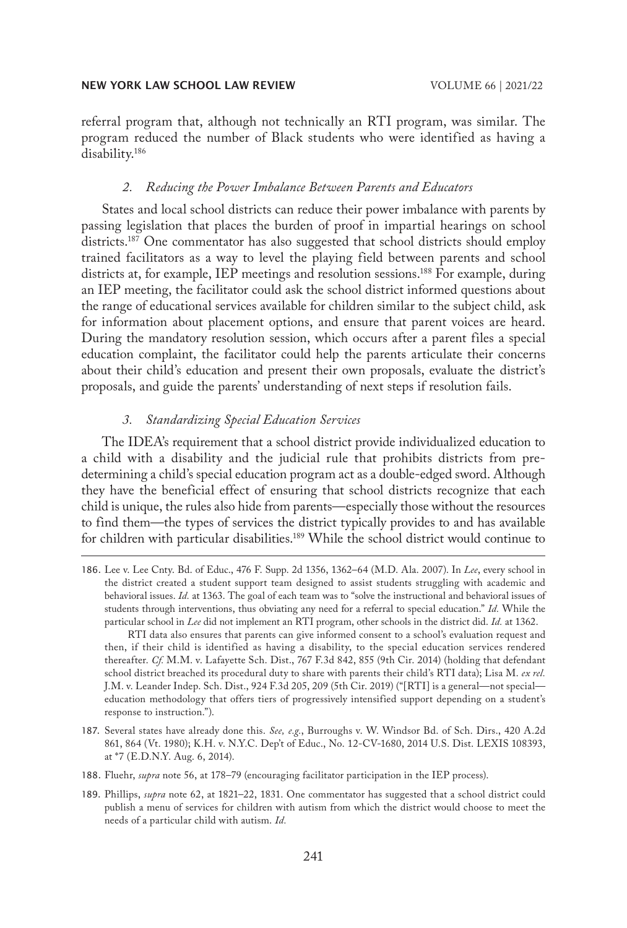referral program that, although not technically an RTI program, was similar. The program reduced the number of Black students who were identified as having a disability.186

## *2. Reducing the Power Imbalance Between Parents and Educators*

States and local school districts can reduce their power imbalance with parents by passing legislation that places the burden of proof in impartial hearings on school districts.187 One commentator has also suggested that school districts should employ trained facilitators as a way to level the playing field between parents and school districts at, for example, IEP meetings and resolution sessions.<sup>188</sup> For example, during an IEP meeting, the facilitator could ask the school district informed questions about the range of educational services available for children similar to the subject child, ask for information about placement options, and ensure that parent voices are heard. During the mandatory resolution session, which occurs after a parent files a special education complaint, the facilitator could help the parents articulate their concerns about their child's education and present their own proposals, evaluate the district's proposals, and guide the parents' understanding of next steps if resolution fails.

## *3. Standardizing Special Education Services*

The IDEA's requirement that a school district provide individualized education to a child with a disability and the judicial rule that prohibits districts from predetermining a child's special education program act as a double-edged sword. Although they have the beneficial effect of ensuring that school districts recognize that each child is unique, the rules also hide from parents—especially those without the resources to find them—the types of services the district typically provides to and has available for children with particular disabilities.189 While the school district would continue to

186. Lee v. Lee Cnty. Bd. of Educ., 476 F. Supp. 2d 1356, 1362–64 (M.D. Ala. 2007). In *Lee*, every school in the district created a student support team designed to assist students struggling with academic and behavioral issues. *Id.* at 1363. The goal of each team was to "solve the instructional and behavioral issues of students through interventions, thus obviating any need for a referral to special education." *Id.* While the particular school in *Lee* did not implement an RTI program, other schools in the district did. *Id.* at 1362.

RTI data also ensures that parents can give informed consent to a school's evaluation request and then, if their child is identified as having a disability, to the special education services rendered thereafter. *Cf.* M.M. v. Lafayette Sch. Dist., 767 F.3d 842, 855 (9th Cir. 2014) (holding that defendant school district breached its procedural duty to share with parents their child's RTI data); Lisa M. *ex rel.* J.M. v. Leander Indep. Sch. Dist., 924 F.3d 205, 209 (5th Cir. 2019) ("[RTI] is a general—not special education methodology that offers tiers of progressively intensified support depending on a student's response to instruction.").

- 187. Several states have already done this. *See, e.g.*, Burroughs v. W. Windsor Bd. of Sch. Dirs., 420 A.2d 861, 864 (Vt. 1980); K.H. v. N.Y.C. Dep't of Educ., No. 12-CV-1680, 2014 U.S. Dist. LEXIS 108393, at \*7 (E.D.N.Y. Aug. 6, 2014).
- 188. Fluehr, *supra* note 56, at 178–79 (encouraging facilitator participation in the IEP process).
- 189. Phillips, *supra* note 62, at 1821–22, 1831. One commentator has suggested that a school district could publish a menu of services for children with autism from which the district would choose to meet the needs of a particular child with autism. *Id.*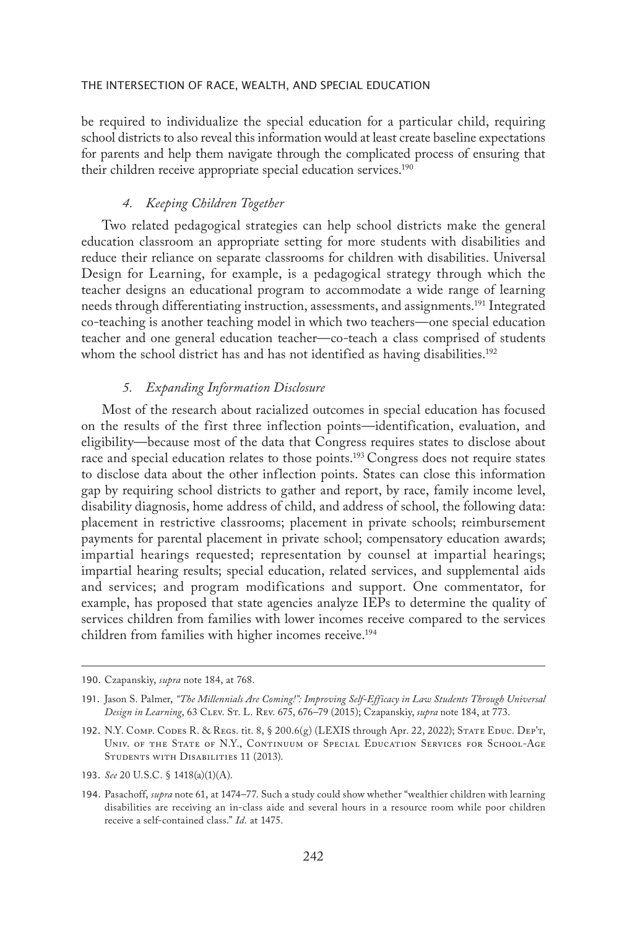be required to individualize the special education for a particular child, requiring school districts to also reveal this information would at least create baseline expectations for parents and help them navigate through the complicated process of ensuring that their children receive appropriate special education services.<sup>190</sup>

## *4. Keeping Children Together*

Two related pedagogical strategies can help school districts make the general education classroom an appropriate setting for more students with disabilities and reduce their reliance on separate classrooms for children with disabilities. Universal Design for Learning, for example, is a pedagogical strategy through which the teacher designs an educational program to accommodate a wide range of learning needs through differentiating instruction, assessments, and assignments.<sup>191</sup> Integrated co-teaching is another teaching model in which two teachers—one special education teacher and one general education teacher—co-teach a class comprised of students whom the school district has and has not identified as having disabilities.<sup>192</sup>

## *5. Expanding Information Disclosure*

Most of the research about racialized outcomes in special education has focused on the results of the first three inflection points—identification, evaluation, and eligibility—because most of the data that Congress requires states to disclose about race and special education relates to those points.<sup>193</sup> Congress does not require states to disclose data about the other inflection points. States can close this information gap by requiring school districts to gather and report, by race, family income level, disability diagnosis, home address of child, and address of school, the following data: placement in restrictive classrooms; placement in private schools; reimbursement payments for parental placement in private school; compensatory education awards; impartial hearings requested; representation by counsel at impartial hearings; impartial hearing results; special education, related services, and supplemental aids and services; and program modifications and support. One commentator, for example, has proposed that state agencies analyze IEPs to determine the quality of services children from families with lower incomes receive compared to the services children from families with higher incomes receive.<sup>194</sup>

<sup>190.</sup> Czapanskiy, *supra* note 184, at 768.

<sup>191.</sup> Jason S. Palmer, *"The Millennials Are Coming!": Improving Self-Efficacy in Law Students Through Universal Design in Learning*, 63 Clev. St. L. Rev. 675, 676–79 (2015); Czapanskiy, *supra* note 184, at 773.

<sup>192.</sup> N.Y. Comp. Codes R. & Regs. tit. 8, § 200.6(g) (LEXIS through Apr. 22, 2022); State Educ. Dep't, Univ. of the State of N.Y., Continuum of Special Education Services for School-Age STUDENTS WITH DISABILITIES 11 (2013).

<sup>193.</sup> *See* 20 U.S.C. § 1418(a)(1)(A).

<sup>194.</sup> Pasachoff, *supra* note 61, at 1474–77. Such a study could show whether "wealthier children with learning disabilities are receiving an in-class aide and several hours in a resource room while poor children receive a self-contained class." *Id.* at 1475.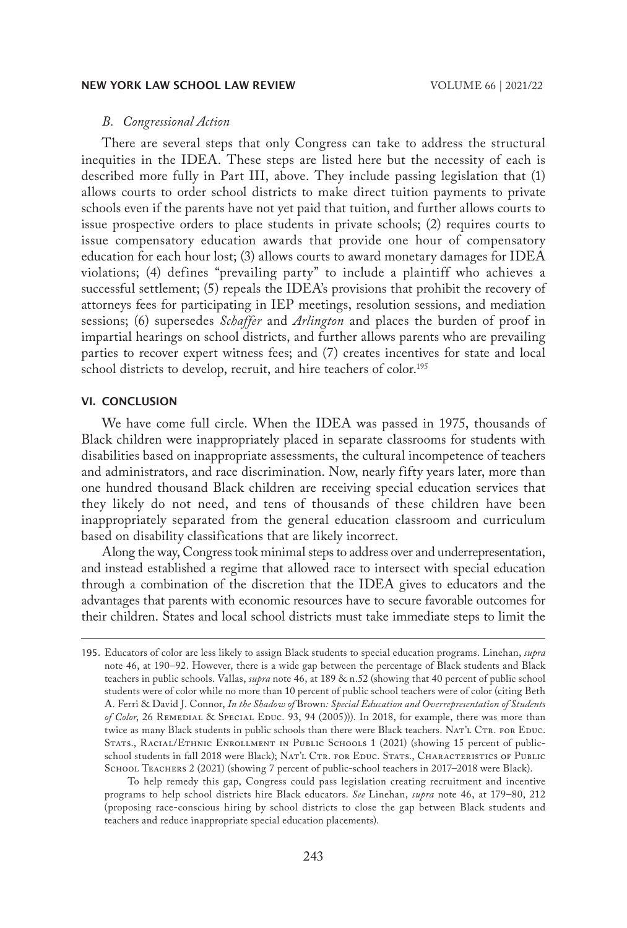## *B. Congressional Action*

There are several steps that only Congress can take to address the structural inequities in the IDEA. These steps are listed here but the necessity of each is described more fully in Part III, above. They include passing legislation that (1) allows courts to order school districts to make direct tuition payments to private schools even if the parents have not yet paid that tuition, and further allows courts to issue prospective orders to place students in private schools; (2) requires courts to issue compensatory education awards that provide one hour of compensatory education for each hour lost; (3) allows courts to award monetary damages for IDEA violations; (4) defines "prevailing party" to include a plaintiff who achieves a successful settlement; (5) repeals the IDEA's provisions that prohibit the recovery of attorneys fees for participating in IEP meetings, resolution sessions, and mediation sessions; (6) supersedes *Schaffer* and *Arlington* and places the burden of proof in impartial hearings on school districts, and further allows parents who are prevailing parties to recover expert witness fees; and (7) creates incentives for state and local school districts to develop, recruit, and hire teachers of color.<sup>195</sup>

#### VI. CONCLUSION

We have come full circle. When the IDEA was passed in 1975, thousands of Black children were inappropriately placed in separate classrooms for students with disabilities based on inappropriate assessments, the cultural incompetence of teachers and administrators, and race discrimination. Now, nearly fifty years later, more than one hundred thousand Black children are receiving special education services that they likely do not need, and tens of thousands of these children have been inappropriately separated from the general education classroom and curriculum based on disability classifications that are likely incorrect.

Along the way, Congress took minimal steps to address over and underrepresentation, and instead established a regime that allowed race to intersect with special education through a combination of the discretion that the IDEA gives to educators and the advantages that parents with economic resources have to secure favorable outcomes for their children. States and local school districts must take immediate steps to limit the

To help remedy this gap, Congress could pass legislation creating recruitment and incentive programs to help school districts hire Black educators. *See* Linehan, *supra* note 46, at 179–80, 212 (proposing race-conscious hiring by school districts to close the gap between Black students and teachers and reduce inappropriate special education placements).

<sup>195.</sup> Educators of color are less likely to assign Black students to special education programs. Linehan, *supra*  note 46, at 190–92. However, there is a wide gap between the percentage of Black students and Black teachers in public schools. Vallas, *supra* note 46, at 189 & n.52 (showing that 40 percent of public school students were of color while no more than 10 percent of public school teachers were of color (citing Beth A. Ferri & David J. Connor, *In the Shadow of* Brown*: Special Education and Overrepresentation of Students of Color*, 26 Remedial & Special Educ. 93, 94 (2005))). In 2018, for example, there was more than twice as many Black students in public schools than there were Black teachers. NAT'L CTR. FOR EDUC. STATS., RACIAL/ETHNIC ENROLLMENT IN PUBLIC SCHOOLS 1 (2021) (showing 15 percent of publicschool students in fall 2018 were Black); NAT'L CTR. FOR EDUC. STATS., CHARACTERISTICS OF PUBLIC School Teachers 2 (2021) (showing 7 percent of public-school teachers in 2017–2018 were Black).